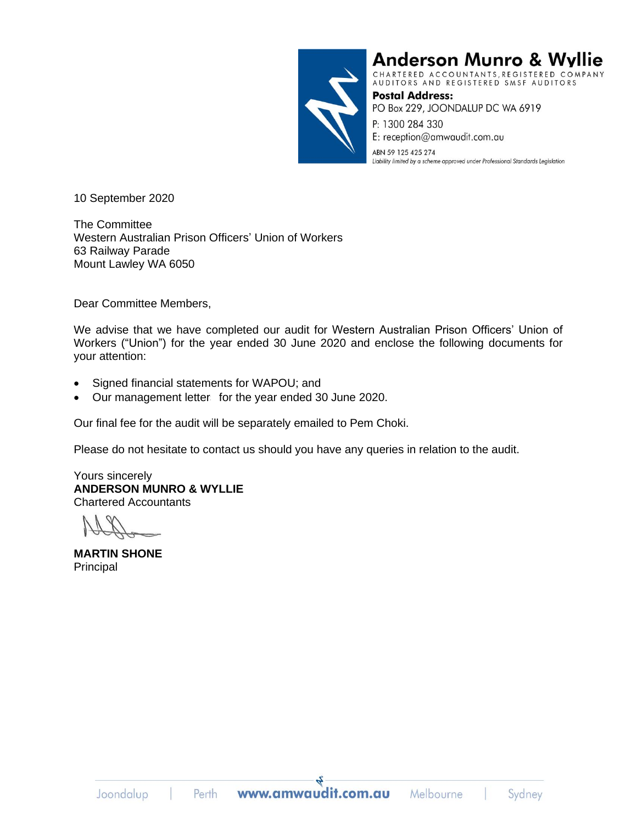

**Anderson Munro & Wyllie** 

CHARTERED ACCOUNTANTS, REGISTERED COMPANY<br>AUDITORS AND REGISTERED SMSF AUDITORS

**Postal Address:** PO Box 229, JOONDALUP DC WA 6919 P: 1300 284 330

E: reception@amwaudit.com.au

ABN 59 125 425 274 Liability limited by a scheme approved under Professional Standards Legislation

10 September 2020

The Committee Western Australian Prison Officers' Union of Workers 63 Railway Parade Mount Lawley WA 6050

Dear Committee Members,

We advise that we have completed our audit for Western Australian Prison Officers' Union of Workers ("Union") for the year ended 30 June 2020 and enclose the following documents for your attention:

- Signed financial statements for WAPOU; and
- Our management letters for the year ended 30 June 2020.

Our final fee for the audit will be separately emailed to Pem Choki.

Please do not hesitate to contact us should you have any queries in relation to the audit.

Yours sincerely **ANDERSON MUNRO & WYLLIE** Chartered Accountants

**MARTIN SHONE** Principal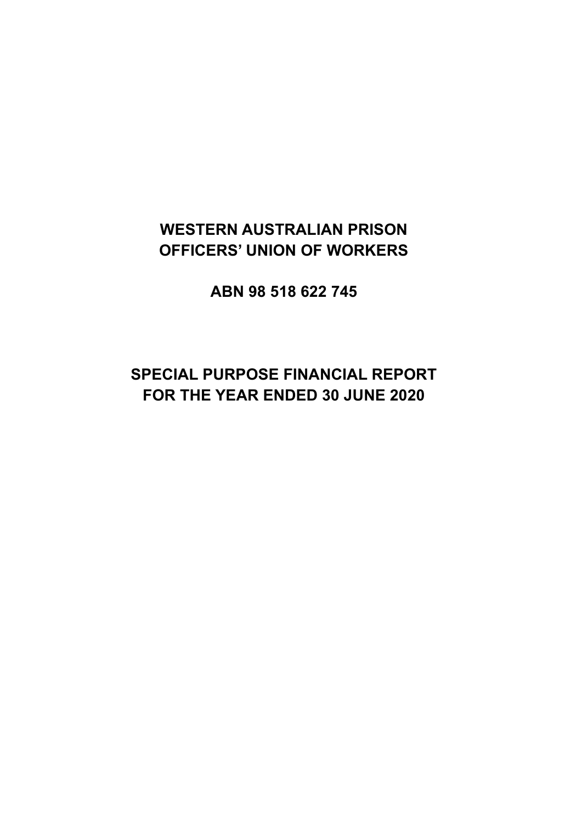# **WESTERN AUSTRALIAN PRISON OFFICERS' UNION OF WORKERS**

**ABN 98 518 622 745**

# **SPECIAL PURPOSE FINANCIAL REPORT FOR THE YEAR ENDED 30 JUNE 2020**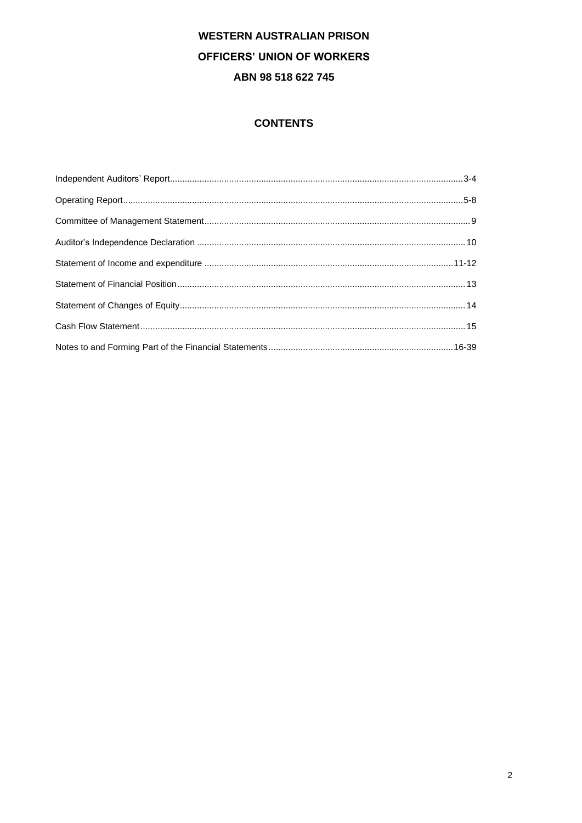# **CONTENTS**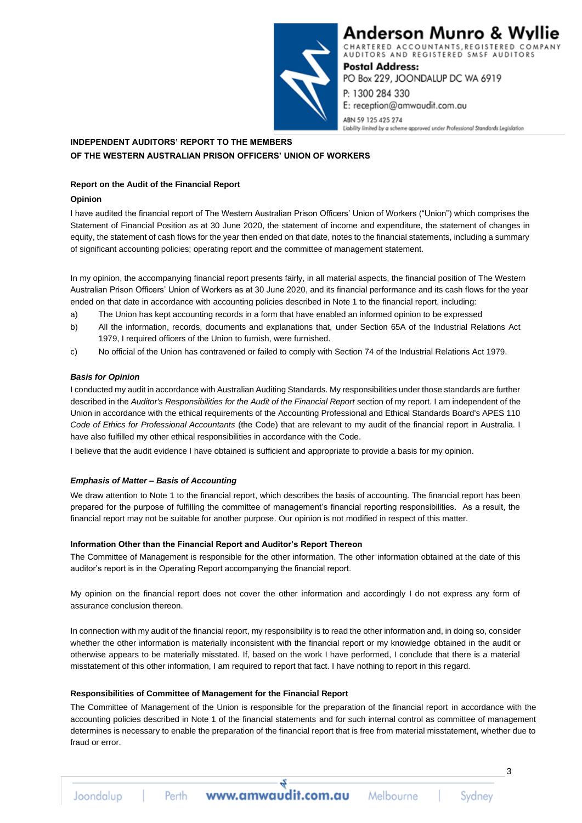

# Anderson Munro & Wyllie

CHARTERED ACCOUNTANTS, REGISTERED COMPANY AUDITORS AND REGISTERED SMSF AUDITORS

**Postal Address:** PO Box 229, JOONDALUP DC WA 6919 P: 1300 284 330 E: reception@amwaudit.com.au ABN 59 125 425 274

Liability limited by a scheme approved under Professional Standards Legislation

# **INDEPENDENT AUDITORS' REPORT TO THE MEMBERS OF THE WESTERN AUSTRALIAN PRISON OFFICERS' UNION OF WORKERS**

## **Report on the Audit of the Financial Report**

### **Opinion**

I have audited the financial report of The Western Australian Prison Officers' Union of Workers ("Union") which comprises the Statement of Financial Position as at 30 June 2020, the statement of income and expenditure, the statement of changes in equity, the statement of cash flows for the year then ended on that date, notes to the financial statements, including a summary of significant accounting policies; operating report and the committee of management statement.

In my opinion, the accompanying financial report presents fairly, in all material aspects, the financial position of The Western Australian Prison Officers' Union of Workers as at 30 June 2020, and its financial performance and its cash flows for the year ended on that date in accordance with accounting policies described in Note 1 to the financial report, including:

- a) The Union has kept accounting records in a form that have enabled an informed opinion to be expressed
- b) All the information, records, documents and explanations that, under Section 65A of the Industrial Relations Act 1979. I required officers of the Union to furnish, were furnished.
- c) No official of the Union has contravened or failed to comply with Section 74 of the Industrial Relations Act 1979.

## *Basis for Opinion*

I conducted my audit in accordance with Australian Auditing Standards. My responsibilities under those standards are further described in the *Auditor's Responsibilities for the Audit of the Financial Report* section of my report. I am independent of the Union in accordance with the ethical requirements of the Accounting Professional and Ethical Standards Board's APES 110 *Code of Ethics for Professional Accountants* (the Code) that are relevant to my audit of the financial report in Australia. I have also fulfilled my other ethical responsibilities in accordance with the Code.

I believe that the audit evidence I have obtained is sufficient and appropriate to provide a basis for my opinion.

### *Emphasis of Matter – Basis of Accounting*

We draw attention to Note 1 to the financial report, which describes the basis of accounting. The financial report has been prepared for the purpose of fulfilling the committee of management's financial reporting responsibilities. As a result, the financial report may not be suitable for another purpose. Our opinion is not modified in respect of this matter.

### **Information Other than the Financial Report and Auditor's Report Thereon**

The Committee of Management is responsible for the other information. The other information obtained at the date of this auditor's report is in the Operating Report accompanying the financial report.

My opinion on the financial report does not cover the other information and accordingly I do not express any form of assurance conclusion thereon.

In connection with my audit of the financial report, my responsibility is to read the other information and, in doing so, consider whether the other information is materially inconsistent with the financial report or my knowledge obtained in the audit or otherwise appears to be materially misstated. If, based on the work I have performed, I conclude that there is a material misstatement of this other information, I am required to report that fact. I have nothing to report in this regard.

## **Responsibilities of Committee of Management for the Financial Report**

The Committee of Management of the Union is responsible for the preparation of the financial report in accordance with the accounting policies described in Note 1 of the financial statements and for such internal control as committee of management determines is necessary to enable the preparation of the financial report that is free from material misstatement, whether due to fraud or error.

Joondalup

Perth

Sydney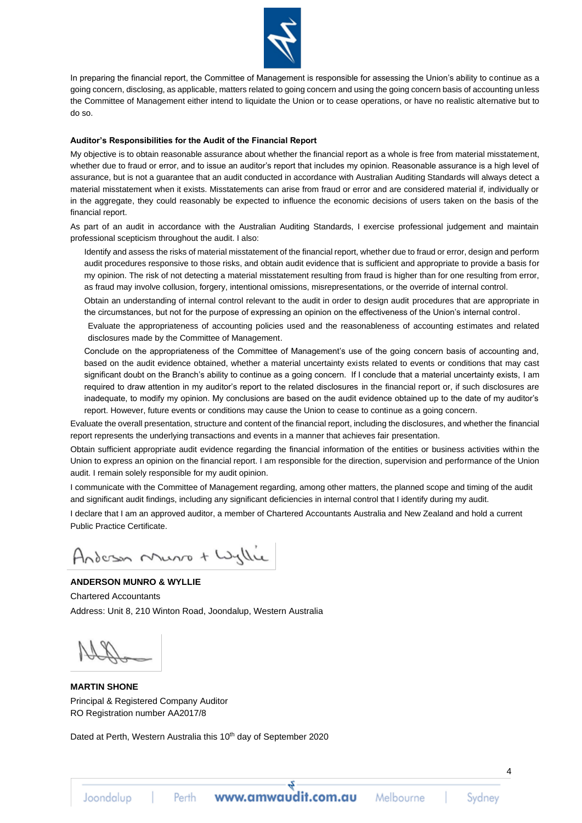

In preparing the financial report, the Committee of Management is responsible for assessing the Union's ability to continue as a going concern, disclosing, as applicable, matters related to going concern and using the going concern basis of accounting unless the Committee of Management either intend to liquidate the Union or to cease operations, or have no realistic alternative but to do so.

#### **Auditor's Responsibilities for the Audit of the Financial Report**

My objective is to obtain reasonable assurance about whether the financial report as a whole is free from material misstatement, whether due to fraud or error, and to issue an auditor's report that includes my opinion. Reasonable assurance is a high level of assurance, but is not a guarantee that an audit conducted in accordance with Australian Auditing Standards will always detect a material misstatement when it exists. Misstatements can arise from fraud or error and are considered material if, individually or in the aggregate, they could reasonably be expected to influence the economic decisions of users taken on the basis of the financial report.

As part of an audit in accordance with the Australian Auditing Standards, I exercise professional judgement and maintain professional scepticism throughout the audit. I also:

Identify and assess the risks of material misstatement of the financial report, whether due to fraud or error, design and perform audit procedures responsive to those risks, and obtain audit evidence that is sufficient and appropriate to provide a basis for my opinion. The risk of not detecting a material misstatement resulting from fraud is higher than for one resulting from error, as fraud may involve collusion, forgery, intentional omissions, misrepresentations, or the override of internal control.

Obtain an understanding of internal control relevant to the audit in order to design audit procedures that are appropriate in the circumstances, but not for the purpose of expressing an opinion on the effectiveness of the Union's internal control.

Evaluate the appropriateness of accounting policies used and the reasonableness of accounting estimates and related disclosures made by the Committee of Management.

Conclude on the appropriateness of the Committee of Management's use of the going concern basis of accounting and, based on the audit evidence obtained, whether a material uncertainty exists related to events or conditions that may cast significant doubt on the Branch's ability to continue as a going concern. If I conclude that a material uncertainty exists, I am required to draw attention in my auditor's report to the related disclosures in the financial report or, if such disclosures are inadequate, to modify my opinion. My conclusions are based on the audit evidence obtained up to the date of my auditor's report. However, future events or conditions may cause the Union to cease to continue as a going concern.

Evaluate the overall presentation, structure and content of the financial report, including the disclosures, and whether the financial report represents the underlying transactions and events in a manner that achieves fair presentation.

Obtain sufficient appropriate audit evidence regarding the financial information of the entities or business activities within the Union to express an opinion on the financial report. I am responsible for the direction, supervision and performance of the Union audit. I remain solely responsible for my audit opinion.

I communicate with the Committee of Management regarding, among other matters, the planned scope and timing of the audit and significant audit findings, including any significant deficiencies in internal control that I identify during my audit.

I declare that I am an approved auditor, a member of Chartered Accountants Australia and New Zealand and hold a current Public Practice Certificate.

Anderson Music + Wyllie

# **ANDERSON MUNRO & WYLLIE**

Chartered Accountants Address: Unit 8, 210 Winton Road, Joondalup, Western Australia

**MARTIN SHONE** Principal & Registered Company Auditor RO Registration number AA2017/8

Dated at Perth, Western Australia this 10<sup>th</sup> day of September 2020

Joondalup

Perth

Svdnev

 $\overline{A}$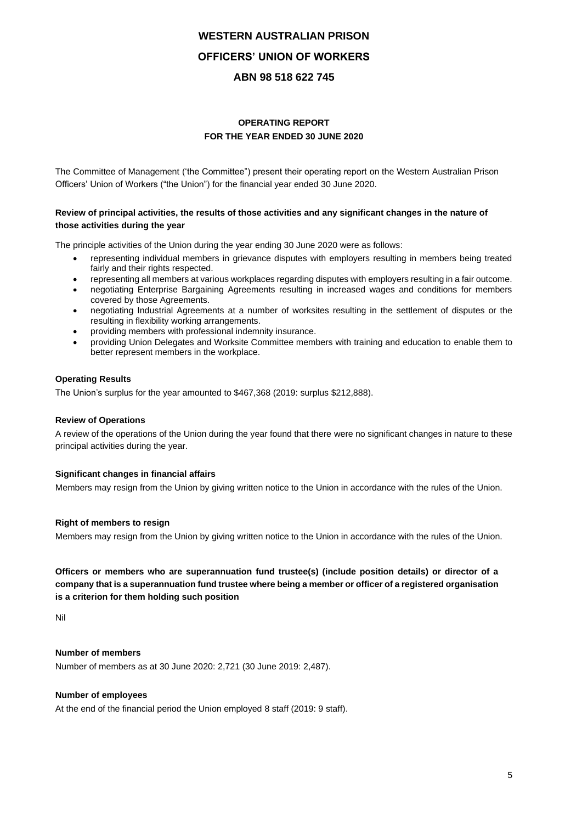# **OPERATING REPORT FOR THE YEAR ENDED 30 JUNE 2020**

The Committee of Management ('the Committee") present their operating report on the Western Australian Prison Officers' Union of Workers ("the Union") for the financial year ended 30 June 2020.

## **Review of principal activities, the results of those activities and any significant changes in the nature of those activities during the year**

The principle activities of the Union during the year ending 30 June 2020 were as follows:

- representing individual members in grievance disputes with employers resulting in members being treated fairly and their rights respected.
- representing all members at various workplaces regarding disputes with employers resulting in a fair outcome.
- negotiating Enterprise Bargaining Agreements resulting in increased wages and conditions for members covered by those Agreements.
- negotiating Industrial Agreements at a number of worksites resulting in the settlement of disputes or the resulting in flexibility working arrangements.
- providing members with professional indemnity insurance.
- providing Union Delegates and Worksite Committee members with training and education to enable them to better represent members in the workplace.

### **Operating Results**

The Union's surplus for the year amounted to \$467,368 (2019: surplus \$212,888).

### **Review of Operations**

A review of the operations of the Union during the year found that there were no significant changes in nature to these principal activities during the year.

### **Significant changes in financial affairs**

Members may resign from the Union by giving written notice to the Union in accordance with the rules of the Union.

### **Right of members to resign**

Members may resign from the Union by giving written notice to the Union in accordance with the rules of the Union.

**Officers or members who are superannuation fund trustee(s) (include position details) or director of a company that is a superannuation fund trustee where being a member or officer of a registered organisation is a criterion for them holding such position**

Nil

### **Number of members**

Number of members as at 30 June 2020: 2,721 (30 June 2019: 2,487).

#### **Number of employees**

At the end of the financial period the Union employed 8 staff (2019: 9 staff).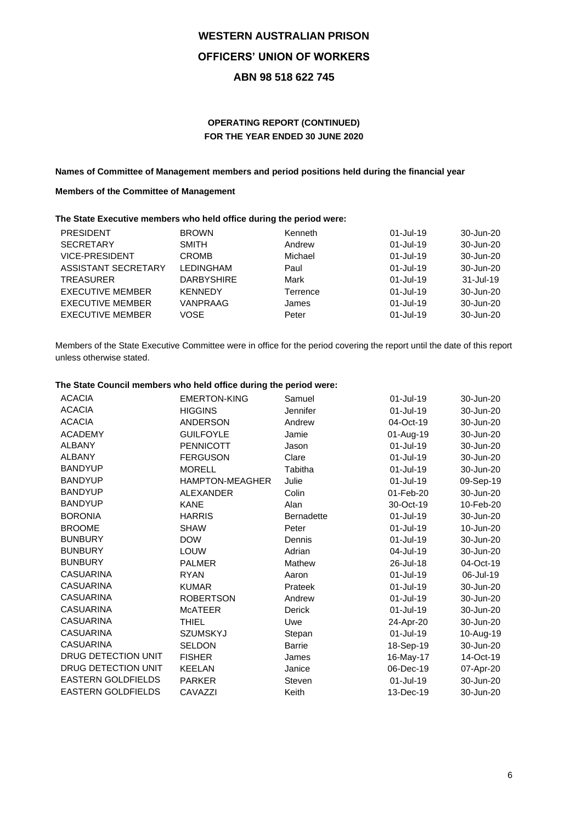# **OPERATING REPORT (CONTINUED) FOR THE YEAR ENDED 30 JUNE 2020**

### **Names of Committee of Management members and period positions held during the financial year**

## **Members of the Committee of Management**

### **The State Executive members who held office during the period were:**

| <b>PRESIDENT</b>        | <b>BROWN</b>      | Kenneth  | $01 -$ Jul-19 | 30-Jun-20 |
|-------------------------|-------------------|----------|---------------|-----------|
| <b>SECRETARY</b>        | <b>SMITH</b>      | Andrew   | $01 -$ Jul-19 | 30-Jun-20 |
| <b>VICE-PRESIDENT</b>   | <b>CROMB</b>      | Michael  | $01 -$ Jul-19 | 30-Jun-20 |
| ASSISTANT SECRETARY     | <b>LEDINGHAM</b>  | Paul     | $01 -$ Jul-19 | 30-Jun-20 |
| <b>TREASURER</b>        | <b>DARBYSHIRE</b> | Mark     | $01 -$ Jul-19 | 31-Jul-19 |
| <b>EXECUTIVE MEMBER</b> | <b>KENNEDY</b>    | Terrence | $01 -$ Jul-19 | 30-Jun-20 |
|                         |                   |          |               |           |
| <b>EXECUTIVE MEMBER</b> | VANPRAAG          | James    | $01 -$ Jul-19 | 30-Jun-20 |
| <b>EXECUTIVE MEMBER</b> | <b>VOSE</b>       | Peter    | $01 -$ Jul-19 | 30-Jun-20 |

Members of the State Executive Committee were in office for the period covering the report until the date of this report unless otherwise stated.

## **The State Council members who held office during the period were:**

| <b>ACACIA</b>              |                        |                   |           |           |
|----------------------------|------------------------|-------------------|-----------|-----------|
|                            | <b>EMERTON-KING</b>    | Samuel            | 01-Jul-19 | 30-Jun-20 |
| <b>ACACIA</b>              | <b>HIGGINS</b>         | Jennifer          | 01-Jul-19 | 30-Jun-20 |
| <b>ACACIA</b>              | <b>ANDERSON</b>        | Andrew            | 04-Oct-19 | 30-Jun-20 |
| <b>ACADEMY</b>             | <b>GUILFOYLE</b>       | Jamie             | 01-Aug-19 | 30-Jun-20 |
| <b>ALBANY</b>              | <b>PENNICOTT</b>       | Jason             | 01-Jul-19 | 30-Jun-20 |
| <b>ALBANY</b>              | <b>FERGUSON</b>        | Clare             | 01-Jul-19 | 30-Jun-20 |
| <b>BANDYUP</b>             | <b>MORELL</b>          | Tabitha           | 01-Jul-19 | 30-Jun-20 |
| <b>BANDYUP</b>             | <b>HAMPTON-MEAGHER</b> | Julie             | 01-Jul-19 | 09-Sep-19 |
| <b>BANDYUP</b>             | <b>ALEXANDER</b>       | Colin             | 01-Feb-20 | 30-Jun-20 |
| <b>BANDYUP</b>             | <b>KANE</b>            | Alan              | 30-Oct-19 | 10-Feb-20 |
| <b>BORONIA</b>             | <b>HARRIS</b>          | <b>Bernadette</b> | 01-Jul-19 | 30-Jun-20 |
| <b>BROOME</b>              | <b>SHAW</b>            | Peter             | 01-Jul-19 | 10-Jun-20 |
| <b>BUNBURY</b>             | <b>DOW</b>             | Dennis            | 01-Jul-19 | 30-Jun-20 |
| <b>BUNBURY</b>             | LOUW                   | Adrian            | 04-Jul-19 | 30-Jun-20 |
| <b>BUNBURY</b>             | <b>PALMER</b>          | Mathew            | 26-Jul-18 | 04-Oct-19 |
| <b>CASUARINA</b>           | <b>RYAN</b>            | Aaron             | 01-Jul-19 | 06-Jul-19 |
| <b>CASUARINA</b>           | <b>KUMAR</b>           | Prateek           | 01-Jul-19 | 30-Jun-20 |
| <b>CASUARINA</b>           | <b>ROBERTSON</b>       | Andrew            | 01-Jul-19 | 30-Jun-20 |
| <b>CASUARINA</b>           | <b>MCATEER</b>         | Derick            | 01-Jul-19 | 30-Jun-20 |
| <b>CASUARINA</b>           | <b>THIEL</b>           | Uwe               | 24-Apr-20 | 30-Jun-20 |
| <b>CASUARINA</b>           | <b>SZUMSKYJ</b>        | Stepan            | 01-Jul-19 | 10-Aug-19 |
| <b>CASUARINA</b>           | <b>SELDON</b>          | <b>Barrie</b>     | 18-Sep-19 | 30-Jun-20 |
| <b>DRUG DETECTION UNIT</b> | <b>FISHER</b>          | James             | 16-May-17 | 14-Oct-19 |
| DRUG DETECTION UNIT        | <b>KEELAN</b>          | Janice            | 06-Dec-19 | 07-Apr-20 |
| <b>EASTERN GOLDFIELDS</b>  | <b>PARKER</b>          | Steven            | 01-Jul-19 | 30-Jun-20 |
| <b>EASTERN GOLDFIELDS</b>  | CAVAZZI                | Keith             | 13-Dec-19 | 30-Jun-20 |
|                            |                        |                   |           |           |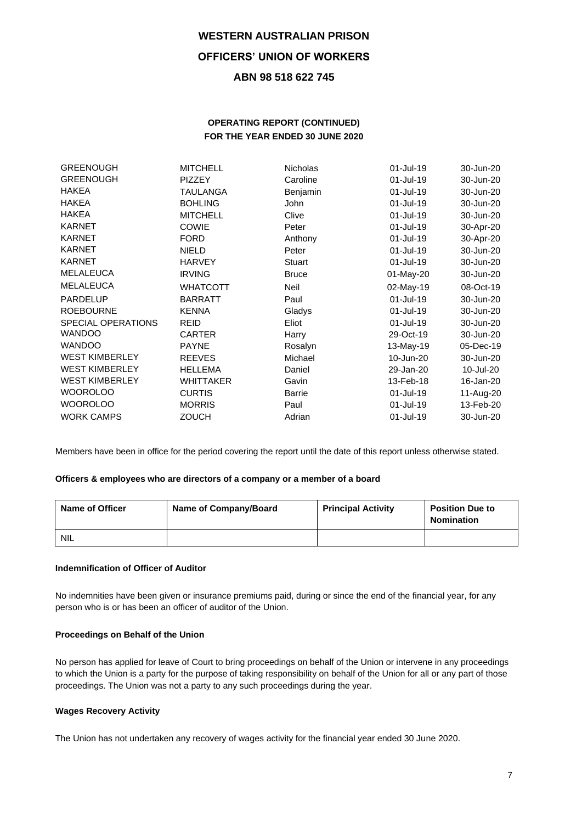# **OPERATING REPORT (CONTINUED) FOR THE YEAR ENDED 30 JUNE 2020**

| <b>GREENOUGH</b>          | <b>MITCHELL</b>  | <b>Nicholas</b> | 01-Jul-19    | 30-Jun-20 |
|---------------------------|------------------|-----------------|--------------|-----------|
| <b>GREENOUGH</b>          | <b>PIZZEY</b>    | Caroline        | 01-Jul-19    | 30-Jun-20 |
| <b>HAKEA</b>              | <b>TAULANGA</b>  | Benjamin        | 01-Jul-19    | 30-Jun-20 |
| <b>HAKEA</b>              | <b>BOHLING</b>   | John            | 01-Jul-19    | 30-Jun-20 |
| <b>HAKEA</b>              | <b>MITCHELL</b>  | Clive           | 01-Jul-19    | 30-Jun-20 |
| <b>KARNET</b>             | <b>COWIE</b>     | Peter           | $01$ -Jul-19 | 30-Apr-20 |
| <b>KARNET</b>             | <b>FORD</b>      | Anthony         | 01-Jul-19    | 30-Apr-20 |
| <b>KARNET</b>             | <b>NIELD</b>     | Peter           | 01-Jul-19    | 30-Jun-20 |
| <b>KARNET</b>             | <b>HARVEY</b>    | Stuart          | 01-Jul-19    | 30-Jun-20 |
| MELALEUCA                 | <b>IRVING</b>    | <b>Bruce</b>    | 01-May-20    | 30-Jun-20 |
| <b>MELALEUCA</b>          | <b>WHATCOTT</b>  | Neil            | 02-May-19    | 08-Oct-19 |
| <b>PARDELUP</b>           | <b>BARRATT</b>   | Paul            | 01-Jul-19    | 30-Jun-20 |
| <b>ROEBOURNE</b>          | <b>KENNA</b>     | Gladys          | 01-Jul-19    | 30-Jun-20 |
| <b>SPECIAL OPERATIONS</b> | <b>REID</b>      | Eliot           | 01-Jul-19    | 30-Jun-20 |
| <b>WANDOO</b>             | <b>CARTER</b>    | Harry           | 29-Oct-19    | 30-Jun-20 |
| <b>WANDOO</b>             | <b>PAYNE</b>     | Rosalyn         | 13-May-19    | 05-Dec-19 |
| <b>WEST KIMBERLEY</b>     | <b>REEVES</b>    | Michael         | 10-Jun-20    | 30-Jun-20 |
| <b>WEST KIMBERLEY</b>     | <b>HELLEMA</b>   | Daniel          | 29-Jan-20    | 10-Jul-20 |
| <b>WEST KIMBERLEY</b>     | <b>WHITTAKER</b> | Gavin           | 13-Feb-18    | 16-Jan-20 |
| <b>WOOROLOO</b>           | <b>CURTIS</b>    | Barrie          | 01-Jul-19    | 11-Aug-20 |
| <b>WOOROLOO</b>           | <b>MORRIS</b>    | Paul            | 01-Jul-19    | 13-Feb-20 |
| <b>WORK CAMPS</b>         | <b>ZOUCH</b>     | Adrian          | 01-Jul-19    | 30-Jun-20 |

Members have been in office for the period covering the report until the date of this report unless otherwise stated.

### **Officers & employees who are directors of a company or a member of a board**

| <b>Name of Officer</b> | Name of Company/Board | <b>Principal Activity</b> | <b>Position Due to</b><br><b>Nomination</b> |
|------------------------|-----------------------|---------------------------|---------------------------------------------|
| NIL                    |                       |                           |                                             |

### **Indemnification of Officer of Auditor**

No indemnities have been given or insurance premiums paid, during or since the end of the financial year, for any person who is or has been an officer of auditor of the Union.

### **Proceedings on Behalf of the Union**

No person has applied for leave of Court to bring proceedings on behalf of the Union or intervene in any proceedings to which the Union is a party for the purpose of taking responsibility on behalf of the Union for all or any part of those proceedings. The Union was not a party to any such proceedings during the year.

## **Wages Recovery Activity**

The Union has not undertaken any recovery of wages activity for the financial year ended 30 June 2020.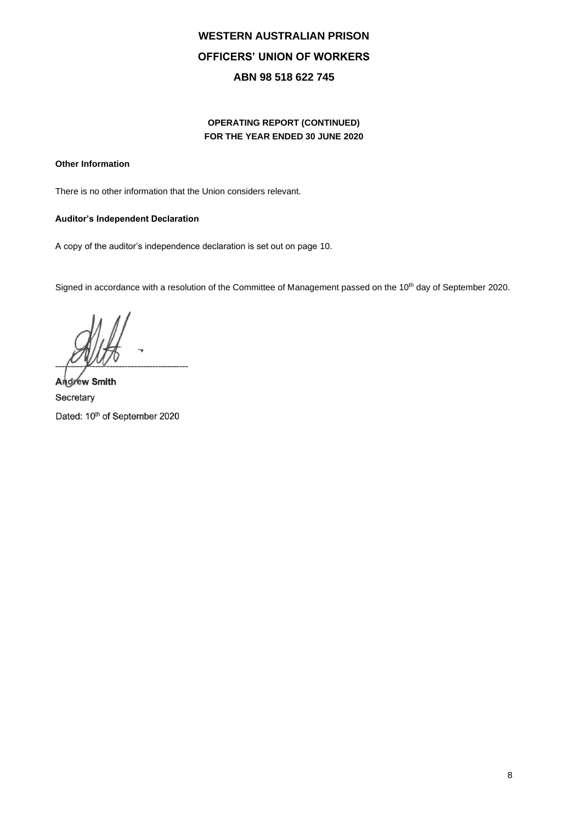# **OPERATING REPORT (CONTINUED) FOR THE YEAR ENDED 30 JUNE 2020**

## **Other Information**

There is no other information that the Union considers relevant.

### **Auditor's Independent Declaration**

A copy of the auditor's independence declaration is set out on page 10.

Signed in accordance with a resolution of the Committee of Management passed on the 10<sup>th</sup> day of September 2020.

--------------------------------------------

**Andrew Smith Secretary** Dated: 10<sup>th</sup> of September 2020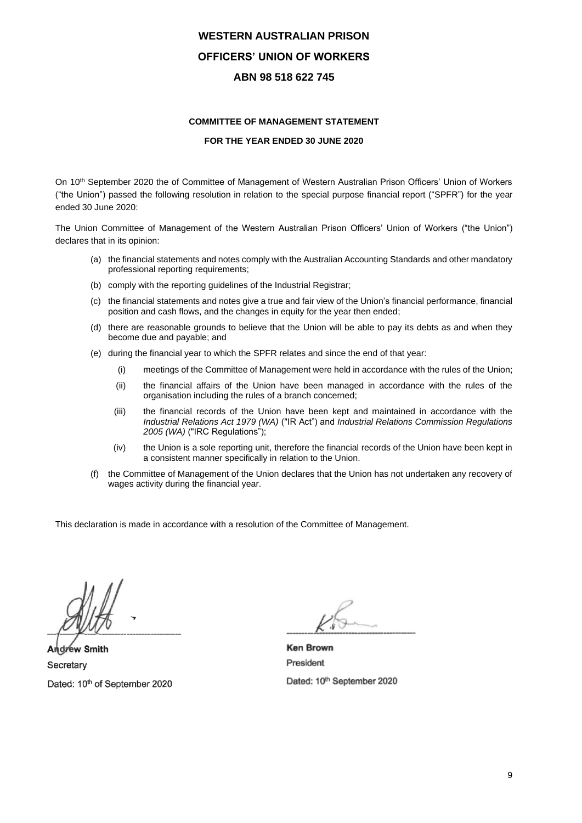### **COMMITTEE OF MANAGEMENT STATEMENT**

### **FOR THE YEAR ENDED 30 JUNE 2020**

On 10<sup>th</sup> September 2020 the of Committee of Management of Western Australian Prison Officers' Union of Workers ("the Union") passed the following resolution in relation to the special purpose financial report ("SPFR") for the year ended 30 June 2020:

The Union Committee of Management of the Western Australian Prison Officers' Union of Workers ("the Union") declares that in its opinion:

- (a) the financial statements and notes comply with the Australian Accounting Standards and other mandatory professional reporting requirements;
- (b) comply with the reporting guidelines of the Industrial Registrar;
- (c) the financial statements and notes give a true and fair view of the Union's financial performance, financial position and cash flows, and the changes in equity for the year then ended;
- (d) there are reasonable grounds to believe that the Union will be able to pay its debts as and when they become due and payable; and
- (e) during the financial year to which the SPFR relates and since the end of that year:
	- (i) meetings of the Committee of Management were held in accordance with the rules of the Union;
	- (ii) the financial affairs of the Union have been managed in accordance with the rules of the organisation including the rules of a branch concerned;
	- (iii) the financial records of the Union have been kept and maintained in accordance with the *Industrial Relations Act 1979 (WA)* ("IR Act") and *Industrial Relations Commission Regulations 2005 (WA)* ("IRC Regulations");
	- (iv) the Union is a sole reporting unit, therefore the financial records of the Union have been kept in a consistent manner specifically in relation to the Union.
- (f) the Committee of Management of the Union declares that the Union has not undertaken any recovery of wages activity during the financial year.

This declaration is made in accordance with a resolution of the Committee of Management.

**Andrew Smith Ken Brown** Secretary President

Dated: 10th September 2020 Dated: 10th September 2020Secretary Dated: 10<sup>th</sup> of September 2020

 $\epsilon$ 

Dated: 10th September 2020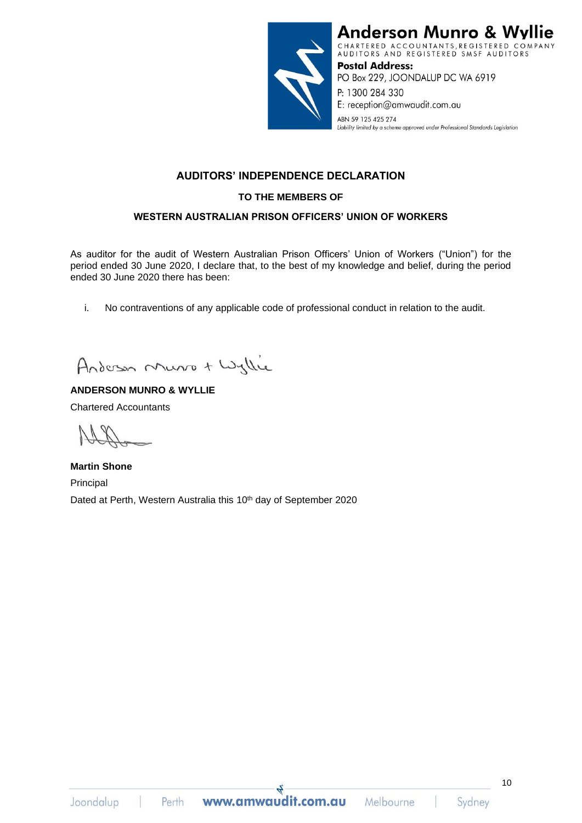

**Anderson Munro & W** ie CHARTERED ACCOUNTANTS, REGISTERED COMPANY<br>AUDITORS AND REGISTERED SMSF AUDITORS **Postal Address:** PO Box 229, JOONDALUP DC WA 6919

P: 1300 284 330 E: reception@amwaudit.com.au

ABN 59 125 425 274 Liability limited by a scheme approved under Professional Standards Legislation

# **AUDITORS' INDEPENDENCE DECLARATION**

# **TO THE MEMBERS OF**

# **WESTERN AUSTRALIAN PRISON OFFICERS' UNION OF WORKERS**

As auditor for the audit of Western Australian Prison Officers' Union of Workers ("Union") for the period ended 30 June 2020, I declare that, to the best of my knowledge and belief, during the period ended 30 June 2020 there has been:

i. No contraventions of any applicable code of professional conduct in relation to the audit.

Anderson Music + Wyllie

# **ANDERSON MUNRO & WYLLIE**

Chartered Accountants

**Martin Shone** Principal Dated at Perth, Western Australia this 10<sup>th</sup> day of September 2020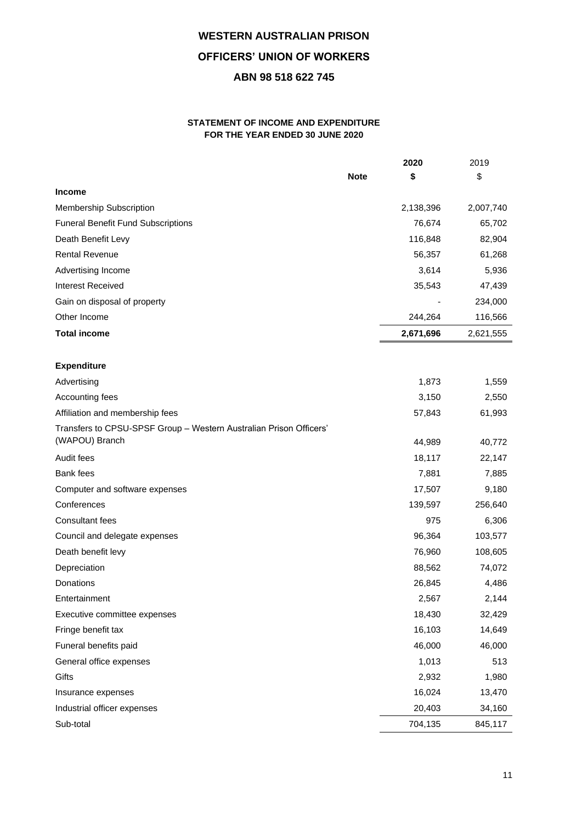## **STATEMENT OF INCOME AND EXPENDITURE FOR THE YEAR ENDED 30 JUNE 2020**

|                                                                                      |             | 2020      | 2019      |
|--------------------------------------------------------------------------------------|-------------|-----------|-----------|
|                                                                                      | <b>Note</b> | \$        | \$        |
| <b>Income</b>                                                                        |             |           |           |
| Membership Subscription                                                              |             | 2,138,396 | 2,007,740 |
| <b>Funeral Benefit Fund Subscriptions</b>                                            |             | 76,674    | 65,702    |
| Death Benefit Levy                                                                   |             | 116,848   | 82,904    |
| <b>Rental Revenue</b>                                                                |             | 56,357    | 61,268    |
| Advertising Income                                                                   |             | 3,614     | 5,936     |
| <b>Interest Received</b>                                                             |             | 35,543    | 47,439    |
| Gain on disposal of property                                                         |             |           | 234,000   |
| Other Income                                                                         |             | 244,264   | 116,566   |
| <b>Total income</b>                                                                  |             | 2,671,696 | 2,621,555 |
|                                                                                      |             |           |           |
| <b>Expenditure</b>                                                                   |             |           |           |
| Advertising                                                                          |             | 1,873     | 1,559     |
| Accounting fees                                                                      |             | 3,150     | 2,550     |
| Affiliation and membership fees                                                      |             | 57,843    | 61,993    |
| Transfers to CPSU-SPSF Group - Western Australian Prison Officers'<br>(WAPOU) Branch |             | 44,989    | 40,772    |
| Audit fees                                                                           |             | 18,117    | 22,147    |
| <b>Bank</b> fees                                                                     |             | 7,881     | 7,885     |
| Computer and software expenses                                                       |             | 17,507    | 9,180     |
| Conferences                                                                          |             | 139,597   | 256,640   |
| <b>Consultant fees</b>                                                               |             | 975       | 6,306     |
| Council and delegate expenses                                                        |             | 96,364    | 103,577   |
| Death benefit levy                                                                   |             | 76,960    | 108,605   |
| Depreciation                                                                         |             | 88,562    | 74,072    |
| Donations                                                                            |             | 26,845    | 4,486     |
| Entertainment                                                                        |             | 2,567     | 2,144     |
| Executive committee expenses                                                         |             | 18,430    | 32,429    |
| Fringe benefit tax                                                                   |             | 16,103    | 14,649    |
| Funeral benefits paid                                                                |             | 46,000    | 46,000    |
| General office expenses                                                              |             | 1,013     | 513       |
| Gifts                                                                                |             | 2,932     | 1,980     |
| Insurance expenses                                                                   |             | 16,024    | 13,470    |
| Industrial officer expenses                                                          |             | 20,403    | 34,160    |
| Sub-total                                                                            |             | 704,135   | 845,117   |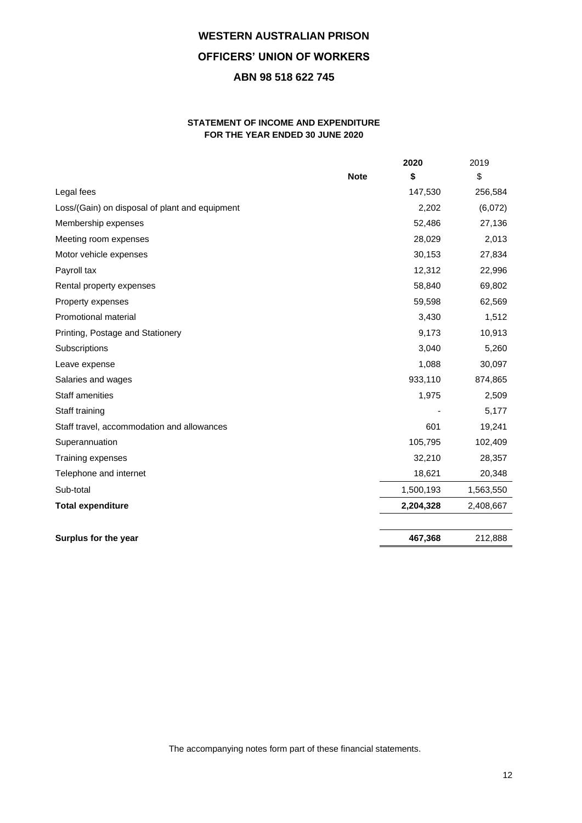## **STATEMENT OF INCOME AND EXPENDITURE FOR THE YEAR ENDED 30 JUNE 2020**

|                                                |             | 2020      | 2019      |
|------------------------------------------------|-------------|-----------|-----------|
|                                                | <b>Note</b> | \$        | \$        |
| Legal fees                                     |             | 147,530   | 256,584   |
| Loss/(Gain) on disposal of plant and equipment |             | 2,202     | (6,072)   |
| Membership expenses                            |             | 52,486    | 27,136    |
| Meeting room expenses                          |             | 28,029    | 2,013     |
| Motor vehicle expenses                         |             | 30,153    | 27,834    |
| Payroll tax                                    |             | 12,312    | 22,996    |
| Rental property expenses                       |             | 58,840    | 69,802    |
| Property expenses                              |             | 59,598    | 62,569    |
| Promotional material                           |             | 3,430     | 1,512     |
| Printing, Postage and Stationery               |             | 9,173     | 10,913    |
| Subscriptions                                  |             | 3,040     | 5,260     |
| Leave expense                                  |             | 1,088     | 30,097    |
| Salaries and wages                             |             | 933,110   | 874,865   |
| <b>Staff amenities</b>                         |             | 1,975     | 2,509     |
| Staff training                                 |             |           | 5,177     |
| Staff travel, accommodation and allowances     |             | 601       | 19,241    |
| Superannuation                                 |             | 105,795   | 102,409   |
| Training expenses                              |             | 32,210    | 28,357    |
| Telephone and internet                         |             | 18,621    | 20,348    |
| Sub-total                                      |             | 1,500,193 | 1,563,550 |
| <b>Total expenditure</b>                       |             | 2,204,328 | 2,408,667 |
|                                                |             |           |           |
| Surplus for the year                           |             | 467,368   | 212,888   |

The accompanying notes form part of these financial statements.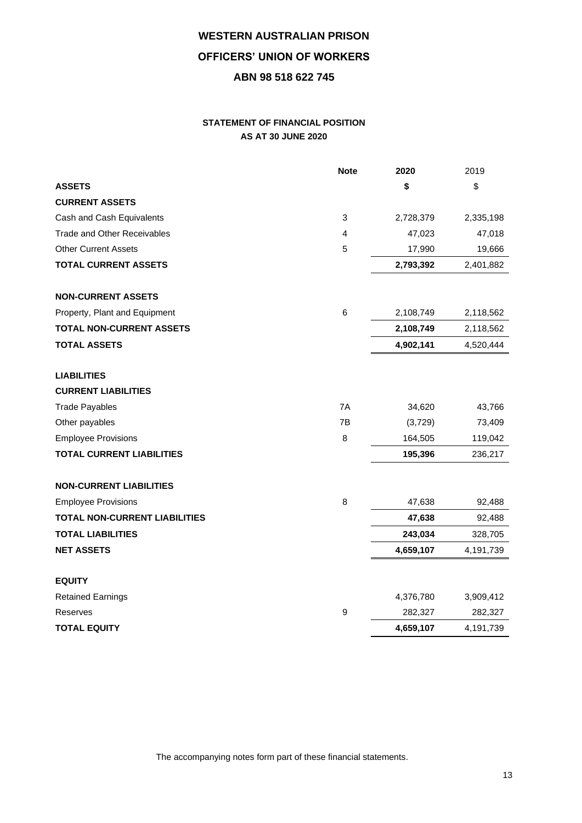# **STATEMENT OF FINANCIAL POSITION AS AT 30 JUNE 2020**

|                                      | <b>Note</b> | 2020      | 2019      |
|--------------------------------------|-------------|-----------|-----------|
| <b>ASSETS</b>                        |             | \$        | \$        |
| <b>CURRENT ASSETS</b>                |             |           |           |
| Cash and Cash Equivalents            | 3           | 2,728,379 | 2,335,198 |
| <b>Trade and Other Receivables</b>   | 4           | 47,023    | 47,018    |
| <b>Other Current Assets</b>          | 5           | 17,990    | 19,666    |
| <b>TOTAL CURRENT ASSETS</b>          |             | 2,793,392 | 2,401,882 |
| <b>NON-CURRENT ASSETS</b>            |             |           |           |
| Property, Plant and Equipment        | $\,6$       | 2,108,749 | 2,118,562 |
| <b>TOTAL NON-CURRENT ASSETS</b>      |             | 2,108,749 | 2,118,562 |
| <b>TOTAL ASSETS</b>                  |             | 4,902,141 | 4,520,444 |
| <b>LIABILITIES</b>                   |             |           |           |
| <b>CURRENT LIABILITIES</b>           |             |           |           |
| <b>Trade Payables</b>                | 7A          | 34,620    | 43,766    |
| Other payables                       | 7B          | (3,729)   | 73,409    |
| <b>Employee Provisions</b>           | 8           | 164,505   | 119,042   |
| <b>TOTAL CURRENT LIABILITIES</b>     |             | 195,396   | 236,217   |
| <b>NON-CURRENT LIABILITIES</b>       |             |           |           |
| <b>Employee Provisions</b>           | 8           | 47,638    | 92,488    |
| <b>TOTAL NON-CURRENT LIABILITIES</b> |             | 47,638    | 92,488    |
| <b>TOTAL LIABILITIES</b>             |             | 243,034   | 328,705   |
| <b>NET ASSETS</b>                    |             | 4,659,107 | 4,191,739 |
| <b>EQUITY</b>                        |             |           |           |
| <b>Retained Earnings</b>             |             | 4,376,780 | 3,909,412 |
| Reserves                             | 9           | 282,327   | 282,327   |
| <b>TOTAL EQUITY</b>                  |             | 4,659,107 | 4,191,739 |

The accompanying notes form part of these financial statements.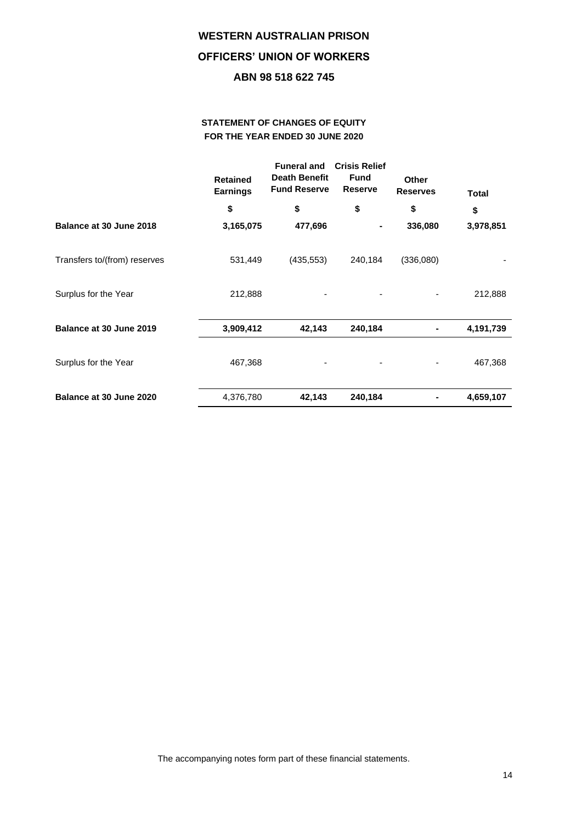# **STATEMENT OF CHANGES OF EQUITY FOR THE YEAR ENDED 30 JUNE 2020**

|                              | <b>Retained</b><br><b>Earnings</b> | <b>Funeral and</b><br><b>Death Benefit</b><br><b>Fund Reserve</b> | <b>Crisis Relief</b><br><b>Fund</b><br><b>Reserve</b> | Other<br><b>Reserves</b> | <b>Total</b> |
|------------------------------|------------------------------------|-------------------------------------------------------------------|-------------------------------------------------------|--------------------------|--------------|
|                              | \$                                 | \$                                                                | \$                                                    | \$                       | \$           |
| Balance at 30 June 2018      | 3,165,075                          | 477,696                                                           |                                                       | 336,080                  | 3,978,851    |
| Transfers to/(from) reserves | 531,449                            | (435, 553)                                                        | 240,184                                               | (336,080)                |              |
| Surplus for the Year         | 212,888                            |                                                                   |                                                       |                          | 212,888      |
| Balance at 30 June 2019      | 3,909,412                          | 42,143                                                            | 240,184                                               |                          | 4,191,739    |
| Surplus for the Year         | 467,368                            |                                                                   |                                                       |                          | 467,368      |
| Balance at 30 June 2020      | 4,376,780                          | 42,143                                                            | 240,184                                               |                          | 4,659,107    |

The accompanying notes form part of these financial statements.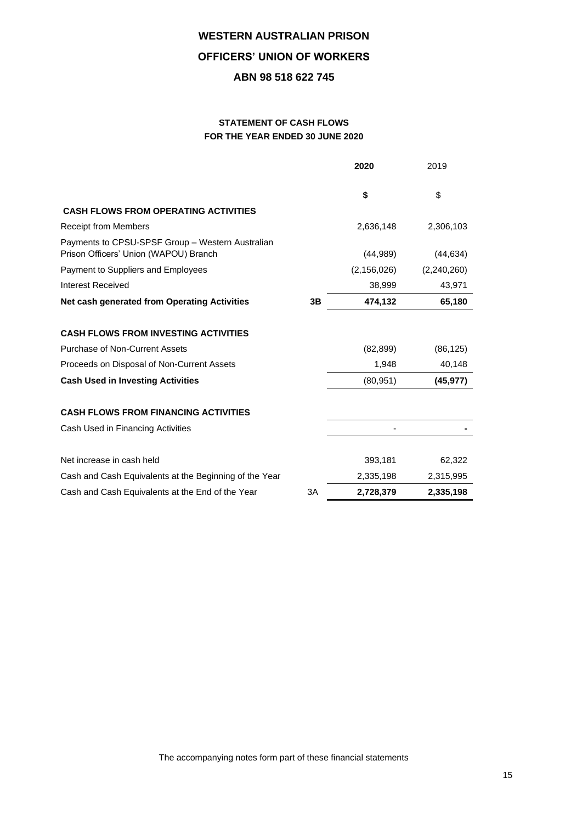# **STATEMENT OF CASH FLOWS FOR THE YEAR ENDED 30 JUNE 2020**

|                                                                                           |    | 2020          | 2019        |
|-------------------------------------------------------------------------------------------|----|---------------|-------------|
|                                                                                           |    | \$            | \$          |
| <b>CASH FLOWS FROM OPERATING ACTIVITIES</b>                                               |    |               |             |
| <b>Receipt from Members</b>                                                               |    | 2,636,148     | 2,306,103   |
| Payments to CPSU-SPSF Group - Western Australian<br>Prison Officers' Union (WAPOU) Branch |    | (44, 989)     | (44, 634)   |
| Payment to Suppliers and Employees                                                        |    | (2, 156, 026) | (2,240,260) |
| <b>Interest Received</b>                                                                  |    | 38,999        | 43,971      |
| Net cash generated from Operating Activities                                              | 3B | 474,132       | 65,180      |
| <b>CASH FLOWS FROM INVESTING ACTIVITIES</b>                                               |    |               |             |
| <b>Purchase of Non-Current Assets</b>                                                     |    | (82, 899)     | (86, 125)   |
| Proceeds on Disposal of Non-Current Assets                                                |    | 1,948         | 40,148      |
| <b>Cash Used in Investing Activities</b>                                                  |    | (80, 951)     | (45, 977)   |
| <b>CASH FLOWS FROM FINANCING ACTIVITIES</b>                                               |    |               |             |
| Cash Used in Financing Activities                                                         |    |               |             |
| Net increase in cash held                                                                 |    | 393,181       | 62,322      |
| Cash and Cash Equivalents at the Beginning of the Year                                    |    | 2,335,198     | 2,315,995   |
| Cash and Cash Equivalents at the End of the Year                                          | 3A | 2,728,379     | 2,335,198   |

The accompanying notes form part of these financial statements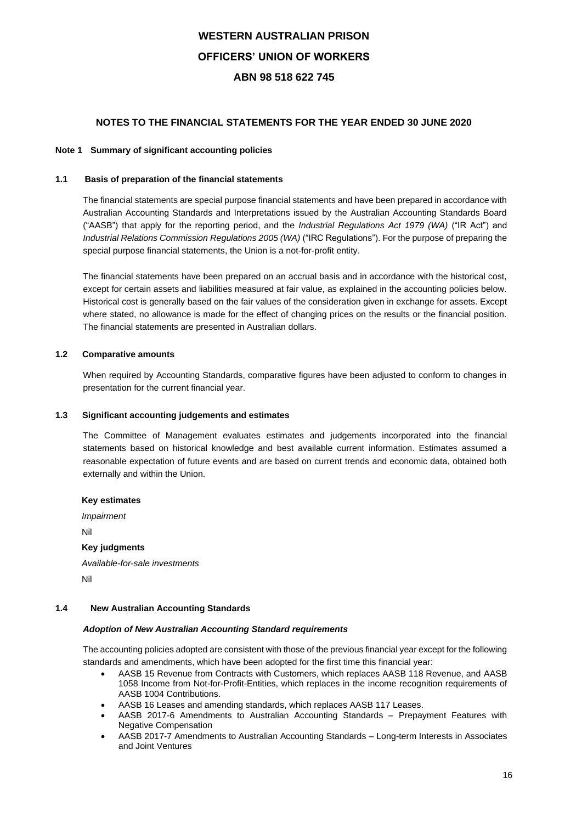## **NOTES TO THE FINANCIAL STATEMENTS FOR THE YEAR ENDED 30 JUNE 2020**

### **Note 1 Summary of significant accounting policies**

### **1.1 Basis of preparation of the financial statements**

The financial statements are special purpose financial statements and have been prepared in accordance with Australian Accounting Standards and Interpretations issued by the Australian Accounting Standards Board ("AASB") that apply for the reporting period, and the *Industrial Regulations Act 1979 (WA)* ("IR Act") and *Industrial Relations Commission Regulations 2005 (WA)* ("IRC Regulations"). For the purpose of preparing the special purpose financial statements, the Union is a not-for-profit entity.

The financial statements have been prepared on an accrual basis and in accordance with the historical cost, except for certain assets and liabilities measured at fair value, as explained in the accounting policies below. Historical cost is generally based on the fair values of the consideration given in exchange for assets. Except where stated, no allowance is made for the effect of changing prices on the results or the financial position. The financial statements are presented in Australian dollars.

### **1.2 Comparative amounts**

When required by Accounting Standards, comparative figures have been adjusted to conform to changes in presentation for the current financial year.

### **1.3 Significant accounting judgements and estimates**

The Committee of Management evaluates estimates and judgements incorporated into the financial statements based on historical knowledge and best available current information. Estimates assumed a reasonable expectation of future events and are based on current trends and economic data, obtained both externally and within the Union.

### **Key estimates**

*Impairment* Nil **Key judgments** *Available-for-sale investments* Nil

#### **1.4 New Australian Accounting Standards**

#### *Adoption of New Australian Accounting Standard requirements*

The accounting policies adopted are consistent with those of the previous financial year except for the following standards and amendments, which have been adopted for the first time this financial year:

- AASB 15 Revenue from Contracts with Customers, which replaces AASB 118 Revenue, and AASB 1058 Income from Not-for-Profit-Entities, which replaces in the income recognition requirements of AASB 1004 Contributions.
- AASB 16 Leases and amending standards, which replaces AASB 117 Leases.
- AASB 2017-6 Amendments to Australian Accounting Standards Prepayment Features with Negative Compensation
- AASB 2017-7 Amendments to Australian Accounting Standards Long-term Interests in Associates and Joint Ventures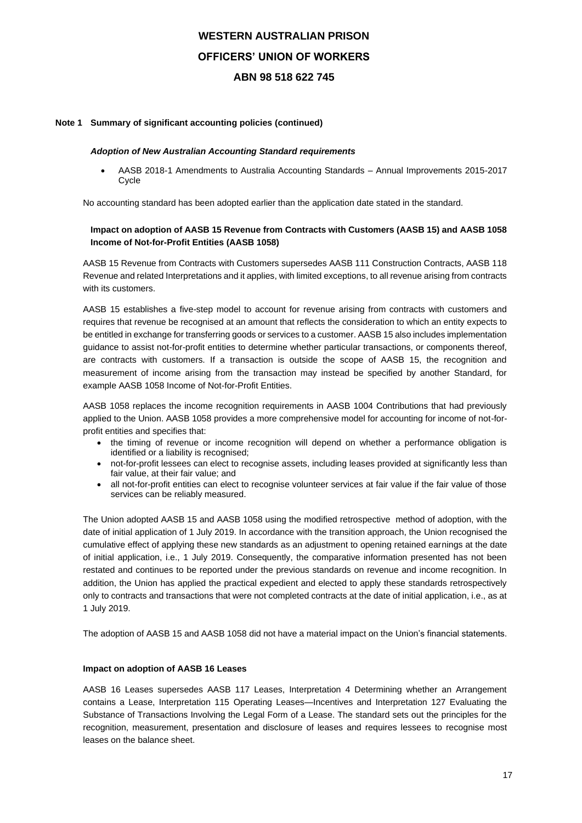### **Note 1 Summary of significant accounting policies (continued)**

#### *Adoption of New Australian Accounting Standard requirements*

• AASB 2018-1 Amendments to Australia Accounting Standards – Annual Improvements 2015-2017 **C**vcle

No accounting standard has been adopted earlier than the application date stated in the standard.

## **Impact on adoption of AASB 15 Revenue from Contracts with Customers (AASB 15) and AASB 1058 Income of Not-for-Profit Entities (AASB 1058)**

AASB 15 Revenue from Contracts with Customers supersedes AASB 111 Construction Contracts, AASB 118 Revenue and related Interpretations and it applies, with limited exceptions, to all revenue arising from contracts with its customers.

AASB 15 establishes a five-step model to account for revenue arising from contracts with customers and requires that revenue be recognised at an amount that reflects the consideration to which an entity expects to be entitled in exchange for transferring goods or services to a customer. AASB 15 also includes implementation guidance to assist not-for-profit entities to determine whether particular transactions, or components thereof, are contracts with customers. If a transaction is outside the scope of AASB 15, the recognition and measurement of income arising from the transaction may instead be specified by another Standard, for example AASB 1058 Income of Not-for-Profit Entities.

AASB 1058 replaces the income recognition requirements in AASB 1004 Contributions that had previously applied to the Union. AASB 1058 provides a more comprehensive model for accounting for income of not-forprofit entities and specifies that:

- the timing of revenue or income recognition will depend on whether a performance obligation is identified or a liability is recognised;
- not-for-profit lessees can elect to recognise assets, including leases provided at significantly less than fair value, at their fair value; and
- all not-for-profit entities can elect to recognise volunteer services at fair value if the fair value of those services can be reliably measured.

The Union adopted AASB 15 and AASB 1058 using the modified retrospective method of adoption, with the date of initial application of 1 July 2019. In accordance with the transition approach, the Union recognised the cumulative effect of applying these new standards as an adjustment to opening retained earnings at the date of initial application, i.e., 1 July 2019. Consequently, the comparative information presented has not been restated and continues to be reported under the previous standards on revenue and income recognition. In addition, the Union has applied the practical expedient and elected to apply these standards retrospectively only to contracts and transactions that were not completed contracts at the date of initial application, i.e., as at 1 July 2019.

The adoption of AASB 15 and AASB 1058 did not have a material impact on the Union's financial statements.

#### **Impact on adoption of AASB 16 Leases**

AASB 16 Leases supersedes AASB 117 Leases, Interpretation 4 Determining whether an Arrangement contains a Lease, Interpretation 115 Operating Leases—Incentives and Interpretation 127 Evaluating the Substance of Transactions Involving the Legal Form of a Lease. The standard sets out the principles for the recognition, measurement, presentation and disclosure of leases and requires lessees to recognise most leases on the balance sheet.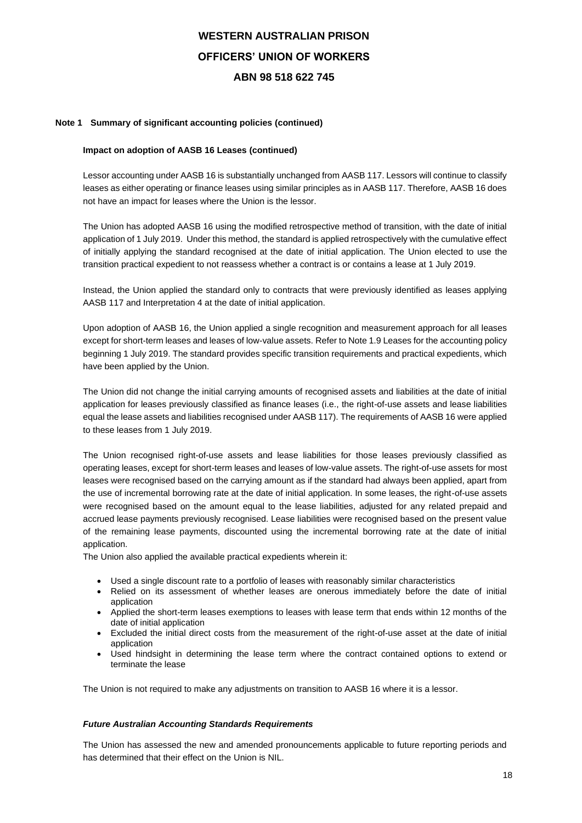### **Note 1 Summary of significant accounting policies (continued)**

### **Impact on adoption of AASB 16 Leases (continued)**

Lessor accounting under AASB 16 is substantially unchanged from AASB 117. Lessors will continue to classify leases as either operating or finance leases using similar principles as in AASB 117. Therefore, AASB 16 does not have an impact for leases where the Union is the lessor.

The Union has adopted AASB 16 using the modified retrospective method of transition, with the date of initial application of 1 July 2019. Under this method, the standard is applied retrospectively with the cumulative effect of initially applying the standard recognised at the date of initial application. The Union elected to use the transition practical expedient to not reassess whether a contract is or contains a lease at 1 July 2019.

Instead, the Union applied the standard only to contracts that were previously identified as leases applying AASB 117 and Interpretation 4 at the date of initial application.

Upon adoption of AASB 16, the Union applied a single recognition and measurement approach for all leases except for short-term leases and leases of low-value assets. Refer to Note 1.9 Leases for the accounting policy beginning 1 July 2019. The standard provides specific transition requirements and practical expedients, which have been applied by the Union.

The Union did not change the initial carrying amounts of recognised assets and liabilities at the date of initial application for leases previously classified as finance leases (i.e., the right-of-use assets and lease liabilities equal the lease assets and liabilities recognised under AASB 117). The requirements of AASB 16 were applied to these leases from 1 July 2019.

The Union recognised right-of-use assets and lease liabilities for those leases previously classified as operating leases, except for short-term leases and leases of low-value assets. The right-of-use assets for most leases were recognised based on the carrying amount as if the standard had always been applied, apart from the use of incremental borrowing rate at the date of initial application. In some leases, the right-of-use assets were recognised based on the amount equal to the lease liabilities, adjusted for any related prepaid and accrued lease payments previously recognised. Lease liabilities were recognised based on the present value of the remaining lease payments, discounted using the incremental borrowing rate at the date of initial application.

The Union also applied the available practical expedients wherein it:

- Used a single discount rate to a portfolio of leases with reasonably similar characteristics
- Relied on its assessment of whether leases are onerous immediately before the date of initial application
- Applied the short-term leases exemptions to leases with lease term that ends within 12 months of the date of initial application
- Excluded the initial direct costs from the measurement of the right-of-use asset at the date of initial application
- Used hindsight in determining the lease term where the contract contained options to extend or terminate the lease

The Union is not required to make any adjustments on transition to AASB 16 where it is a lessor.

#### *Future Australian Accounting Standards Requirements*

The Union has assessed the new and amended pronouncements applicable to future reporting periods and has determined that their effect on the Union is NIL.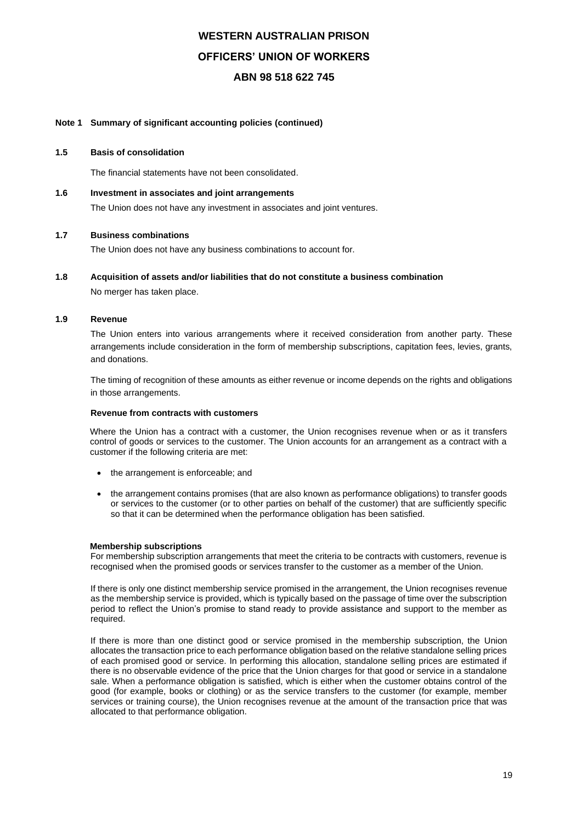### **Note 1 Summary of significant accounting policies (continued)**

#### **1.5 Basis of consolidation**

The financial statements have not been consolidated.

**1.6 Investment in associates and joint arrangements**

The Union does not have any investment in associates and joint ventures.

#### **1.7 Business combinations**

The Union does not have any business combinations to account for.

#### **1.8 Acquisition of assets and/or liabilities that do not constitute a business combination**

No merger has taken place.

### **1.9 Revenue**

The Union enters into various arrangements where it received consideration from another party. These arrangements include consideration in the form of membership subscriptions, capitation fees, levies, grants, and donations.

The timing of recognition of these amounts as either revenue or income depends on the rights and obligations in those arrangements.

#### **Revenue from contracts with customers**

Where the Union has a contract with a customer, the Union recognises revenue when or as it transfers control of goods or services to the customer. The Union accounts for an arrangement as a contract with a customer if the following criteria are met:

- the arrangement is enforceable; and
- the arrangement contains promises (that are also known as performance obligations) to transfer goods or services to the customer (or to other parties on behalf of the customer) that are sufficiently specific so that it can be determined when the performance obligation has been satisfied.

#### **Membership subscriptions**

For membership subscription arrangements that meet the criteria to be contracts with customers, revenue is recognised when the promised goods or services transfer to the customer as a member of the Union.

If there is only one distinct membership service promised in the arrangement, the Union recognises revenue as the membership service is provided, which is typically based on the passage of time over the subscription period to reflect the Union's promise to stand ready to provide assistance and support to the member as required.

If there is more than one distinct good or service promised in the membership subscription, the Union allocates the transaction price to each performance obligation based on the relative standalone selling prices of each promised good or service. In performing this allocation, standalone selling prices are estimated if there is no observable evidence of the price that the Union charges for that good or service in a standalone sale. When a performance obligation is satisfied, which is either when the customer obtains control of the good (for example, books or clothing) or as the service transfers to the customer (for example, member services or training course), the Union recognises revenue at the amount of the transaction price that was allocated to that performance obligation.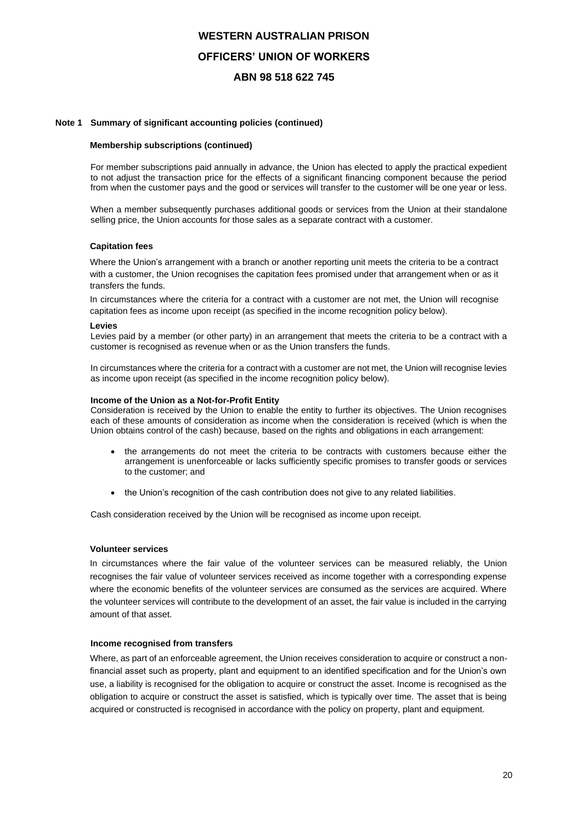### **Note 1 Summary of significant accounting policies (continued)**

#### **Membership subscriptions (continued)**

For member subscriptions paid annually in advance, the Union has elected to apply the practical expedient to not adjust the transaction price for the effects of a significant financing component because the period from when the customer pays and the good or services will transfer to the customer will be one year or less.

When a member subsequently purchases additional goods or services from the Union at their standalone selling price, the Union accounts for those sales as a separate contract with a customer.

#### **Capitation fees**

Where the Union's arrangement with a branch or another reporting unit meets the criteria to be a contract with a customer, the Union recognises the capitation fees promised under that arrangement when or as it transfers the funds.

In circumstances where the criteria for a contract with a customer are not met, the Union will recognise capitation fees as income upon receipt (as specified in the income recognition policy below).

### **Levies**

Levies paid by a member (or other party) in an arrangement that meets the criteria to be a contract with a customer is recognised as revenue when or as the Union transfers the funds.

In circumstances where the criteria for a contract with a customer are not met, the Union will recognise levies as income upon receipt (as specified in the income recognition policy below).

#### **Income of the Union as a Not-for-Profit Entity**

Consideration is received by the Union to enable the entity to further its objectives. The Union recognises each of these amounts of consideration as income when the consideration is received (which is when the Union obtains control of the cash) because, based on the rights and obligations in each arrangement:

- the arrangements do not meet the criteria to be contracts with customers because either the arrangement is unenforceable or lacks sufficiently specific promises to transfer goods or services to the customer; and
- the Union's recognition of the cash contribution does not give to any related liabilities.

Cash consideration received by the Union will be recognised as income upon receipt.

#### **Volunteer services**

In circumstances where the fair value of the volunteer services can be measured reliably, the Union recognises the fair value of volunteer services received as income together with a corresponding expense where the economic benefits of the volunteer services are consumed as the services are acquired. Where the volunteer services will contribute to the development of an asset, the fair value is included in the carrying amount of that asset.

#### **Income recognised from transfers**

Where, as part of an enforceable agreement, the Union receives consideration to acquire or construct a nonfinancial asset such as property, plant and equipment to an identified specification and for the Union's own use, a liability is recognised for the obligation to acquire or construct the asset. Income is recognised as the obligation to acquire or construct the asset is satisfied, which is typically over time. The asset that is being acquired or constructed is recognised in accordance with the policy on property, plant and equipment.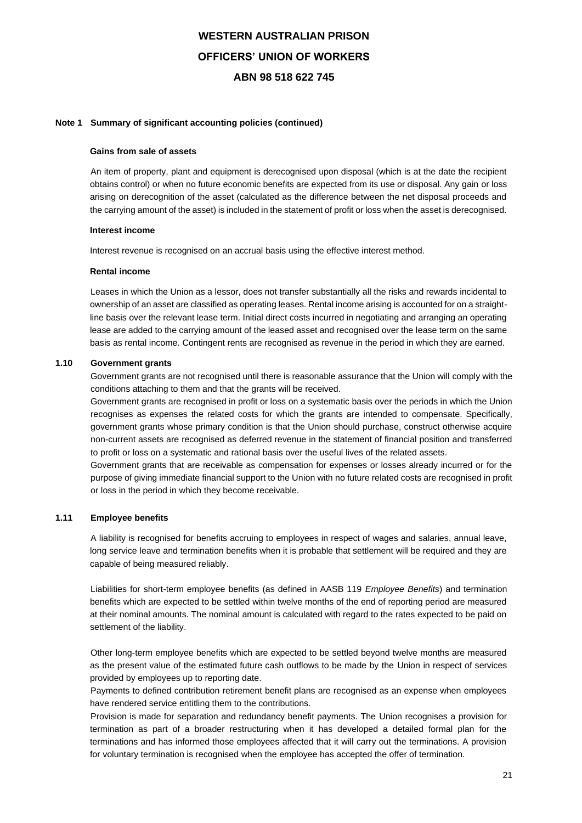### **Note 1 Summary of significant accounting policies (continued)**

#### **Gains from sale of assets**

An item of property, plant and equipment is derecognised upon disposal (which is at the date the recipient obtains control) or when no future economic benefits are expected from its use or disposal. Any gain or loss arising on derecognition of the asset (calculated as the difference between the net disposal proceeds and the carrying amount of the asset) is included in the statement of profit or loss when the asset is derecognised.

### **Interest income**

Interest revenue is recognised on an accrual basis using the effective interest method.

### **Rental income**

Leases in which the Union as a lessor, does not transfer substantially all the risks and rewards incidental to ownership of an asset are classified as operating leases. Rental income arising is accounted for on a straightline basis over the relevant lease term. Initial direct costs incurred in negotiating and arranging an operating lease are added to the carrying amount of the leased asset and recognised over the lease term on the same basis as rental income. Contingent rents are recognised as revenue in the period in which they are earned.

### **1.10 Government grants**

Government grants are not recognised until there is reasonable assurance that the Union will comply with the conditions attaching to them and that the grants will be received.

Government grants are recognised in profit or loss on a systematic basis over the periods in which the Union recognises as expenses the related costs for which the grants are intended to compensate. Specifically, government grants whose primary condition is that the Union should purchase, construct otherwise acquire non-current assets are recognised as deferred revenue in the statement of financial position and transferred to profit or loss on a systematic and rational basis over the useful lives of the related assets.

Government grants that are receivable as compensation for expenses or losses already incurred or for the purpose of giving immediate financial support to the Union with no future related costs are recognised in profit or loss in the period in which they become receivable.

## **1.11 Employee benefits**

A liability is recognised for benefits accruing to employees in respect of wages and salaries, annual leave, long service leave and termination benefits when it is probable that settlement will be required and they are capable of being measured reliably.

Liabilities for short-term employee benefits (as defined in AASB 119 *Employee Benefits*) and termination benefits which are expected to be settled within twelve months of the end of reporting period are measured at their nominal amounts. The nominal amount is calculated with regard to the rates expected to be paid on settlement of the liability.

Other long-term employee benefits which are expected to be settled beyond twelve months are measured as the present value of the estimated future cash outflows to be made by the Union in respect of services provided by employees up to reporting date.

Payments to defined contribution retirement benefit plans are recognised as an expense when employees have rendered service entitling them to the contributions.

Provision is made for separation and redundancy benefit payments. The Union recognises a provision for termination as part of a broader restructuring when it has developed a detailed formal plan for the terminations and has informed those employees affected that it will carry out the terminations. A provision for voluntary termination is recognised when the employee has accepted the offer of termination.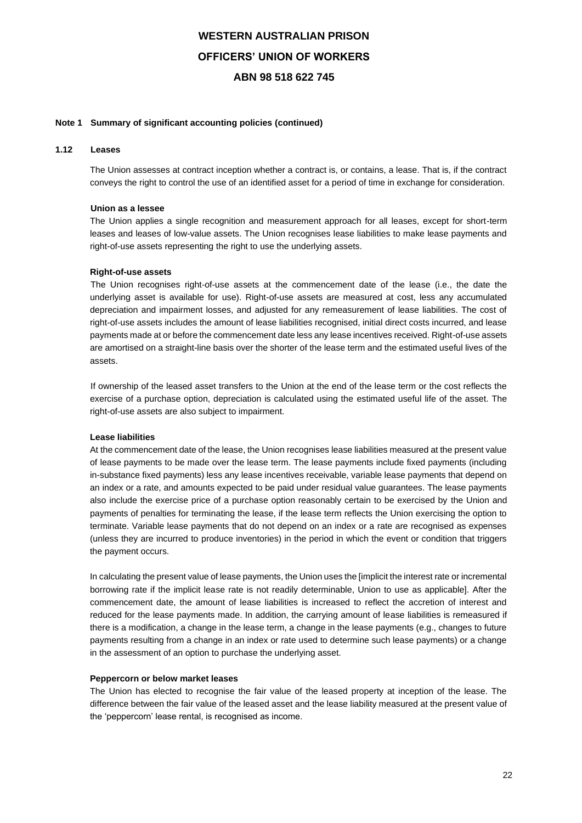### **Note 1 Summary of significant accounting policies (continued)**

### **1.12 Leases**

The Union assesses at contract inception whether a contract is, or contains, a lease. That is, if the contract conveys the right to control the use of an identified asset for a period of time in exchange for consideration.

#### **Union as a lessee**

The Union applies a single recognition and measurement approach for all leases, except for short-term leases and leases of low-value assets. The Union recognises lease liabilities to make lease payments and right-of-use assets representing the right to use the underlying assets.

#### **Right-of-use assets**

The Union recognises right-of-use assets at the commencement date of the lease (i.e., the date the underlying asset is available for use). Right-of-use assets are measured at cost, less any accumulated depreciation and impairment losses, and adjusted for any remeasurement of lease liabilities. The cost of right-of-use assets includes the amount of lease liabilities recognised, initial direct costs incurred, and lease payments made at or before the commencement date less any lease incentives received. Right-of-use assets are amortised on a straight-line basis over the shorter of the lease term and the estimated useful lives of the assets.

If ownership of the leased asset transfers to the Union at the end of the lease term or the cost reflects the exercise of a purchase option, depreciation is calculated using the estimated useful life of the asset. The right-of-use assets are also subject to impairment.

#### **Lease liabilities**

At the commencement date of the lease, the Union recognises lease liabilities measured at the present value of lease payments to be made over the lease term. The lease payments include fixed payments (including in-substance fixed payments) less any lease incentives receivable, variable lease payments that depend on an index or a rate, and amounts expected to be paid under residual value guarantees. The lease payments also include the exercise price of a purchase option reasonably certain to be exercised by the Union and payments of penalties for terminating the lease, if the lease term reflects the Union exercising the option to terminate. Variable lease payments that do not depend on an index or a rate are recognised as expenses (unless they are incurred to produce inventories) in the period in which the event or condition that triggers the payment occurs.

In calculating the present value of lease payments, the Union uses the [implicit the interest rate or incremental borrowing rate if the implicit lease rate is not readily determinable, Union to use as applicable]. After the commencement date, the amount of lease liabilities is increased to reflect the accretion of interest and reduced for the lease payments made. In addition, the carrying amount of lease liabilities is remeasured if there is a modification, a change in the lease term, a change in the lease payments (e.g., changes to future payments resulting from a change in an index or rate used to determine such lease payments) or a change in the assessment of an option to purchase the underlying asset.

#### **Peppercorn or below market leases**

The Union has elected to recognise the fair value of the leased property at inception of the lease. The difference between the fair value of the leased asset and the lease liability measured at the present value of the 'peppercorn' lease rental, is recognised as income.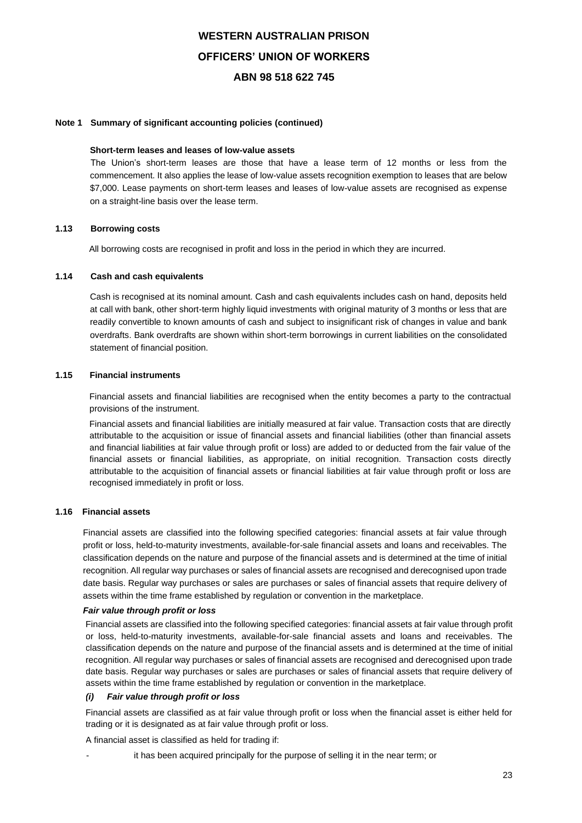### **Note 1 Summary of significant accounting policies (continued)**

### **Short-term leases and leases of low-value assets**

The Union's short-term leases are those that have a lease term of 12 months or less from the commencement. It also applies the lease of low-value assets recognition exemption to leases that are below \$7,000. Lease payments on short-term leases and leases of low-value assets are recognised as expense on a straight-line basis over the lease term.

### **1.13 Borrowing costs**

All borrowing costs are recognised in profit and loss in the period in which they are incurred.

### **1.14 Cash and cash equivalents**

Cash is recognised at its nominal amount. Cash and cash equivalents includes cash on hand, deposits held at call with bank, other short-term highly liquid investments with original maturity of 3 months or less that are readily convertible to known amounts of cash and subject to insignificant risk of changes in value and bank overdrafts. Bank overdrafts are shown within short-term borrowings in current liabilities on the consolidated statement of financial position.

### **1.15 Financial instruments**

Financial assets and financial liabilities are recognised when the entity becomes a party to the contractual provisions of the instrument.

Financial assets and financial liabilities are initially measured at fair value. Transaction costs that are directly attributable to the acquisition or issue of financial assets and financial liabilities (other than financial assets and financial liabilities at fair value through profit or loss) are added to or deducted from the fair value of the financial assets or financial liabilities, as appropriate, on initial recognition. Transaction costs directly attributable to the acquisition of financial assets or financial liabilities at fair value through profit or loss are recognised immediately in profit or loss.

## **1.16 Financial assets**

Financial assets are classified into the following specified categories: financial assets at fair value through profit or loss, held-to-maturity investments, available-for-sale financial assets and loans and receivables. The classification depends on the nature and purpose of the financial assets and is determined at the time of initial recognition. All regular way purchases or sales of financial assets are recognised and derecognised upon trade date basis. Regular way purchases or sales are purchases or sales of financial assets that require delivery of assets within the time frame established by regulation or convention in the marketplace.

### *Fair value through profit or loss*

Financial assets are classified into the following specified categories: financial assets at fair value through profit or loss, held-to-maturity investments, available-for-sale financial assets and loans and receivables. The classification depends on the nature and purpose of the financial assets and is determined at the time of initial recognition. All regular way purchases or sales of financial assets are recognised and derecognised upon trade date basis. Regular way purchases or sales are purchases or sales of financial assets that require delivery of assets within the time frame established by regulation or convention in the marketplace.

#### *(i) Fair value through profit or loss*

Financial assets are classified as at fair value through profit or loss when the financial asset is either held for trading or it is designated as at fair value through profit or loss.

A financial asset is classified as held for trading if:

it has been acquired principally for the purpose of selling it in the near term; or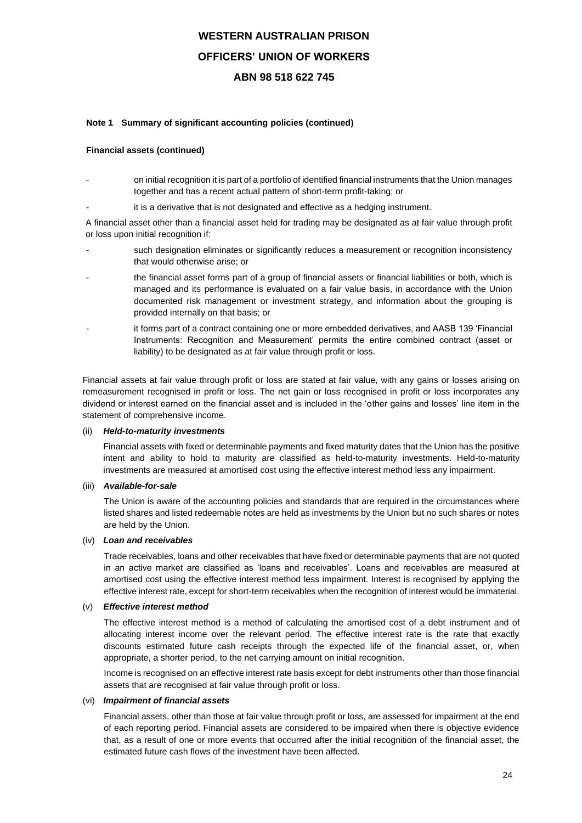### **Note 1 Summary of significant accounting policies (continued)**

### **Financial assets (continued)**

- on initial recognition it is part of a portfolio of identified financial instruments that the Union manages together and has a recent actual pattern of short-term profit-taking; or
- it is a derivative that is not designated and effective as a hedging instrument.

A financial asset other than a financial asset held for trading may be designated as at fair value through profit or loss upon initial recognition if:

- such designation eliminates or significantly reduces a measurement or recognition inconsistency that would otherwise arise; or
- the financial asset forms part of a group of financial assets or financial liabilities or both, which is managed and its performance is evaluated on a fair value basis, in accordance with the Union documented risk management or investment strategy, and information about the grouping is provided internally on that basis; or
- it forms part of a contract containing one or more embedded derivatives, and AASB 139 'Financial Instruments: Recognition and Measurement' permits the entire combined contract (asset or liability) to be designated as at fair value through profit or loss.

Financial assets at fair value through profit or loss are stated at fair value, with any gains or losses arising on remeasurement recognised in profit or loss. The net gain or loss recognised in profit or loss incorporates any dividend or interest earned on the financial asset and is included in the 'other gains and losses' line item in the statement of comprehensive income.

#### (ii) *Held-to-maturity investments*

Financial assets with fixed or determinable payments and fixed maturity dates that the Union has the positive intent and ability to hold to maturity are classified as held-to-maturity investments. Held-to-maturity investments are measured at amortised cost using the effective interest method less any impairment.

### (iii) *Available-for-sale*

The Union is aware of the accounting policies and standards that are required in the circumstances where listed shares and listed redeemable notes are held as investments by the Union but no such shares or notes are held by the Union.

### (iv) *Loan and receivables*

Trade receivables, loans and other receivables that have fixed or determinable payments that are not quoted in an active market are classified as 'loans and receivables'. Loans and receivables are measured at amortised cost using the effective interest method less impairment. Interest is recognised by applying the effective interest rate, except for short-term receivables when the recognition of interest would be immaterial.

### (v) *Effective interest method*

The effective interest method is a method of calculating the amortised cost of a debt instrument and of allocating interest income over the relevant period. The effective interest rate is the rate that exactly discounts estimated future cash receipts through the expected life of the financial asset, or, when appropriate, a shorter period, to the net carrying amount on initial recognition.

Income is recognised on an effective interest rate basis except for debt instruments other than those financial assets that are recognised at fair value through profit or loss.

### (vi) *Impairment of financial assets*

Financial assets, other than those at fair value through profit or loss, are assessed for impairment at the end of each reporting period. Financial assets are considered to be impaired when there is objective evidence that, as a result of one or more events that occurred after the initial recognition of the financial asset, the estimated future cash flows of the investment have been affected.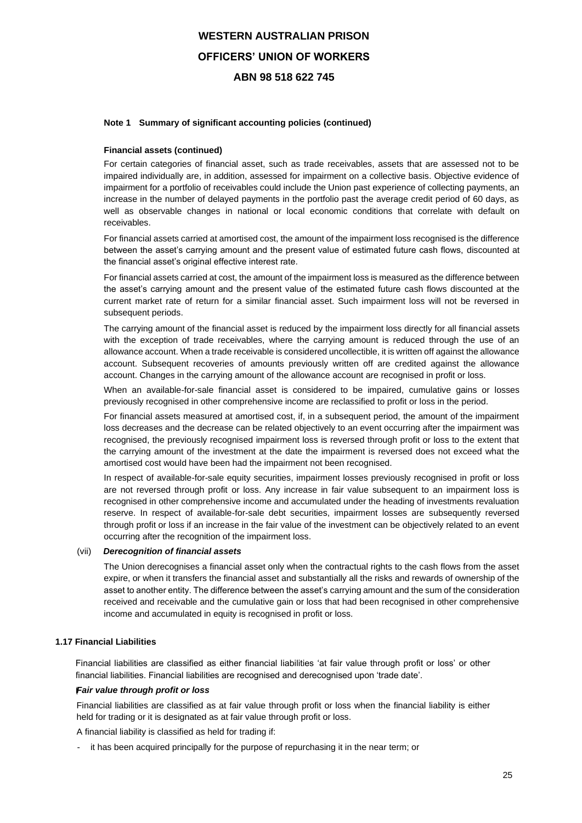### **Note 1 Summary of significant accounting policies (continued)**

### **Financial assets (continued)**

For certain categories of financial asset, such as trade receivables, assets that are assessed not to be impaired individually are, in addition, assessed for impairment on a collective basis. Objective evidence of impairment for a portfolio of receivables could include the Union past experience of collecting payments, an increase in the number of delayed payments in the portfolio past the average credit period of 60 days, as well as observable changes in national or local economic conditions that correlate with default on receivables.

For financial assets carried at amortised cost, the amount of the impairment loss recognised is the difference between the asset's carrying amount and the present value of estimated future cash flows, discounted at the financial asset's original effective interest rate.

For financial assets carried at cost, the amount of the impairment loss is measured as the difference between the asset's carrying amount and the present value of the estimated future cash flows discounted at the current market rate of return for a similar financial asset. Such impairment loss will not be reversed in subsequent periods.

The carrying amount of the financial asset is reduced by the impairment loss directly for all financial assets with the exception of trade receivables, where the carrying amount is reduced through the use of an allowance account. When a trade receivable is considered uncollectible, it is written off against the allowance account. Subsequent recoveries of amounts previously written off are credited against the allowance account. Changes in the carrying amount of the allowance account are recognised in profit or loss.

When an available-for-sale financial asset is considered to be impaired, cumulative gains or losses previously recognised in other comprehensive income are reclassified to profit or loss in the period.

For financial assets measured at amortised cost, if, in a subsequent period, the amount of the impairment loss decreases and the decrease can be related objectively to an event occurring after the impairment was recognised, the previously recognised impairment loss is reversed through profit or loss to the extent that the carrying amount of the investment at the date the impairment is reversed does not exceed what the amortised cost would have been had the impairment not been recognised.

In respect of available-for-sale equity securities, impairment losses previously recognised in profit or loss are not reversed through profit or loss. Any increase in fair value subsequent to an impairment loss is recognised in other comprehensive income and accumulated under the heading of investments revaluation reserve. In respect of available-for-sale debt securities, impairment losses are subsequently reversed through profit or loss if an increase in the fair value of the investment can be objectively related to an event occurring after the recognition of the impairment loss.

#### (vii) *Derecognition of financial assets*

The Union derecognises a financial asset only when the contractual rights to the cash flows from the asset expire, or when it transfers the financial asset and substantially all the risks and rewards of ownership of the asset to another entity. The difference between the asset's carrying amount and the sum of the consideration received and receivable and the cumulative gain or loss that had been recognised in other comprehensive income and accumulated in equity is recognised in profit or loss.

### **1.17 Financial Liabilities**

Financial liabilities are classified as either financial liabilities 'at fair value through profit or loss' or other financial liabilities. Financial liabilities are recognised and derecognised upon 'trade date'.

#### **(i)** *Fair value through profit or loss*

Financial liabilities are classified as at fair value through profit or loss when the financial liability is either held for trading or it is designated as at fair value through profit or loss.

A financial liability is classified as held for trading if:

it has been acquired principally for the purpose of repurchasing it in the near term; or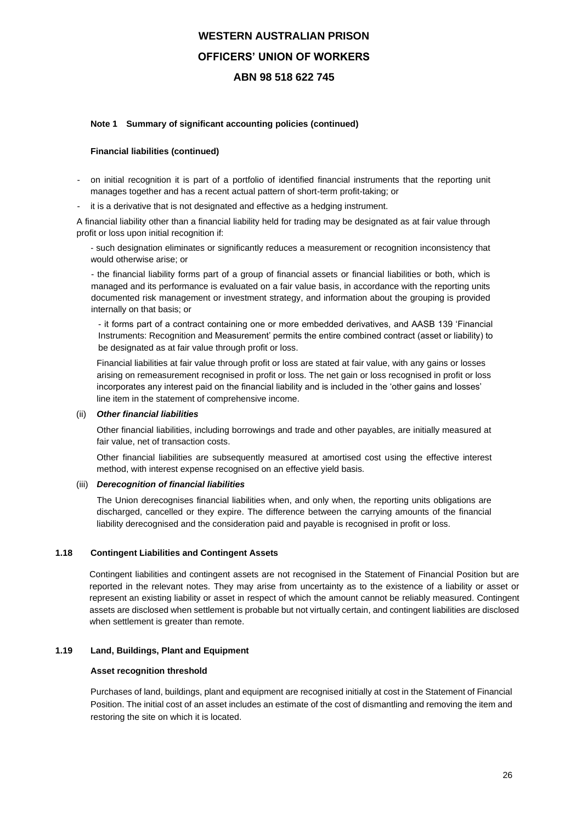### **Note 1 Summary of significant accounting policies (continued)**

### **Financial liabilities (continued)**

- on initial recognition it is part of a portfolio of identified financial instruments that the reporting unit manages together and has a recent actual pattern of short-term profit-taking; or
- it is a derivative that is not designated and effective as a hedging instrument.

A financial liability other than a financial liability held for trading may be designated as at fair value through profit or loss upon initial recognition if:

- such designation eliminates or significantly reduces a measurement or recognition inconsistency that would otherwise arise; or

- the financial liability forms part of a group of financial assets or financial liabilities or both, which is managed and its performance is evaluated on a fair value basis, in accordance with the reporting units documented risk management or investment strategy, and information about the grouping is provided internally on that basis; or

- it forms part of a contract containing one or more embedded derivatives, and AASB 139 'Financial Instruments: Recognition and Measurement' permits the entire combined contract (asset or liability) to be designated as at fair value through profit or loss.

Financial liabilities at fair value through profit or loss are stated at fair value, with any gains or losses arising on remeasurement recognised in profit or loss. The net gain or loss recognised in profit or loss incorporates any interest paid on the financial liability and is included in the 'other gains and losses' line item in the statement of comprehensive income.

#### (ii) *Other financial liabilities*

Other financial liabilities, including borrowings and trade and other payables, are initially measured at fair value, net of transaction costs.

Other financial liabilities are subsequently measured at amortised cost using the effective interest method, with interest expense recognised on an effective yield basis.

#### (iii) *Derecognition of financial liabilities*

The Union derecognises financial liabilities when, and only when, the reporting units obligations are discharged, cancelled or they expire. The difference between the carrying amounts of the financial liability derecognised and the consideration paid and payable is recognised in profit or loss.

#### **1.18 Contingent Liabilities and Contingent Assets**

Contingent liabilities and contingent assets are not recognised in the Statement of Financial Position but are reported in the relevant notes. They may arise from uncertainty as to the existence of a liability or asset or represent an existing liability or asset in respect of which the amount cannot be reliably measured. Contingent assets are disclosed when settlement is probable but not virtually certain, and contingent liabilities are disclosed when settlement is greater than remote.

### **1.19 Land, Buildings, Plant and Equipment**

#### **Asset recognition threshold**

Purchases of land, buildings, plant and equipment are recognised initially at cost in the Statement of Financial Position. The initial cost of an asset includes an estimate of the cost of dismantling and removing the item and restoring the site on which it is located.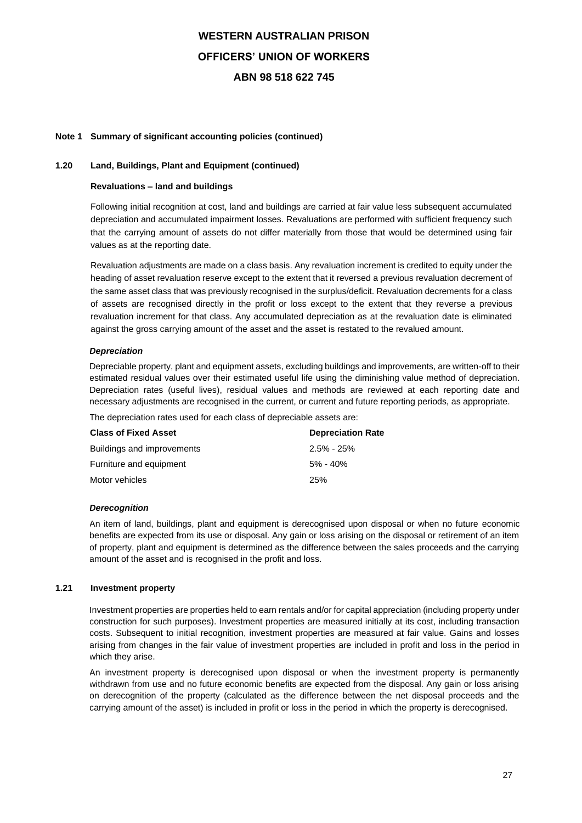### **Note 1 Summary of significant accounting policies (continued)**

## **1.20 Land, Buildings, Plant and Equipment (continued)**

### **Revaluations – land and buildings**

Following initial recognition at cost, land and buildings are carried at fair value less subsequent accumulated depreciation and accumulated impairment losses. Revaluations are performed with sufficient frequency such that the carrying amount of assets do not differ materially from those that would be determined using fair values as at the reporting date.

Revaluation adjustments are made on a class basis. Any revaluation increment is credited to equity under the heading of asset revaluation reserve except to the extent that it reversed a previous revaluation decrement of the same asset class that was previously recognised in the surplus/deficit. Revaluation decrements for a class of assets are recognised directly in the profit or loss except to the extent that they reverse a previous revaluation increment for that class. Any accumulated depreciation as at the revaluation date is eliminated against the gross carrying amount of the asset and the asset is restated to the revalued amount.

### *Depreciation*

Depreciable property, plant and equipment assets, excluding buildings and improvements, are written-off to their estimated residual values over their estimated useful life using the diminishing value method of depreciation. Depreciation rates (useful lives), residual values and methods are reviewed at each reporting date and necessary adjustments are recognised in the current, or current and future reporting periods, as appropriate.

The depreciation rates used for each class of depreciable assets are:

| <b>Class of Fixed Asset</b> | <b>Depreciation Rate</b> |
|-----------------------------|--------------------------|
| Buildings and improvements  | $2.5\% - 25\%$           |
| Furniture and equipment     | 5% - 40%                 |
| Motor vehicles              | 25%                      |

#### *Derecognition*

An item of land, buildings, plant and equipment is derecognised upon disposal or when no future economic benefits are expected from its use or disposal. Any gain or loss arising on the disposal or retirement of an item of property, plant and equipment is determined as the difference between the sales proceeds and the carrying amount of the asset and is recognised in the profit and loss.

### **1.21 Investment property**

Investment properties are properties held to earn rentals and/or for capital appreciation (including property under construction for such purposes). Investment properties are measured initially at its cost, including transaction costs. Subsequent to initial recognition, investment properties are measured at fair value. Gains and losses arising from changes in the fair value of investment properties are included in profit and loss in the period in which they arise.

An investment property is derecognised upon disposal or when the investment property is permanently withdrawn from use and no future economic benefits are expected from the disposal. Any gain or loss arising on derecognition of the property (calculated as the difference between the net disposal proceeds and the carrying amount of the asset) is included in profit or loss in the period in which the property is derecognised.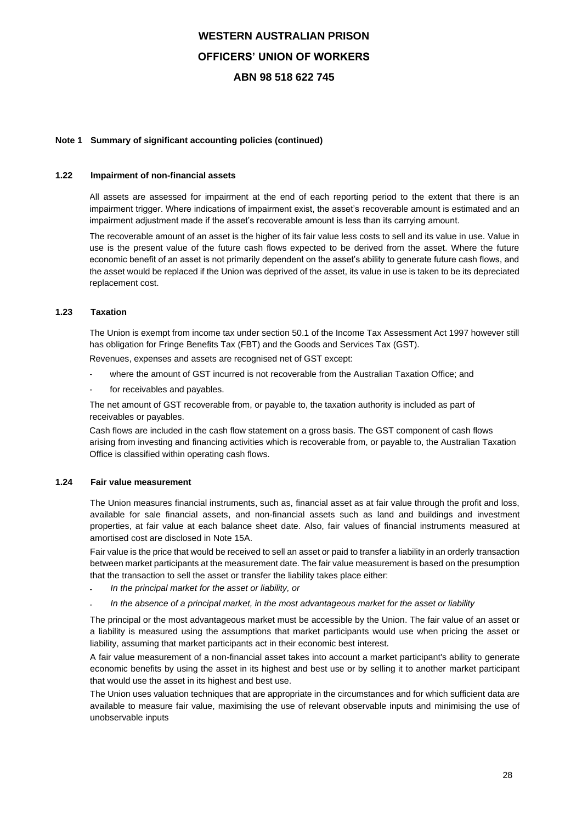### **Note 1 Summary of significant accounting policies (continued)**

### **1.22 Impairment of non-financial assets**

All assets are assessed for impairment at the end of each reporting period to the extent that there is an impairment trigger. Where indications of impairment exist, the asset's recoverable amount is estimated and an impairment adjustment made if the asset's recoverable amount is less than its carrying amount.

The recoverable amount of an asset is the higher of its fair value less costs to sell and its value in use. Value in use is the present value of the future cash flows expected to be derived from the asset. Where the future economic benefit of an asset is not primarily dependent on the asset's ability to generate future cash flows, and the asset would be replaced if the Union was deprived of the asset, its value in use is taken to be its depreciated replacement cost.

### **1.23 Taxation**

The Union is exempt from income tax under section 50.1 of the Income Tax Assessment Act 1997 however still has obligation for Fringe Benefits Tax (FBT) and the Goods and Services Tax (GST).

Revenues, expenses and assets are recognised net of GST except:

- where the amount of GST incurred is not recoverable from the Australian Taxation Office; and
- for receivables and payables.

The net amount of GST recoverable from, or payable to, the taxation authority is included as part of receivables or payables.

Cash flows are included in the cash flow statement on a gross basis. The GST component of cash flows arising from investing and financing activities which is recoverable from, or payable to, the Australian Taxation Office is classified within operating cash flows.

## **1.24 Fair value measurement**

The Union measures financial instruments, such as, financial asset as at fair value through the profit and loss, available for sale financial assets, and non-financial assets such as land and buildings and investment properties, at fair value at each balance sheet date. Also, fair values of financial instruments measured at amortised cost are disclosed in Note 15A.

Fair value is the price that would be received to sell an asset or paid to transfer a liability in an orderly transaction between market participants at the measurement date. The fair value measurement is based on the presumption that the transaction to sell the asset or transfer the liability takes place either:

- *In the principal market for the asset or liability, or*
- *In the absence of a principal market, in the most advantageous market for the asset or liability*

The principal or the most advantageous market must be accessible by the Union. The fair value of an asset or a liability is measured using the assumptions that market participants would use when pricing the asset or liability, assuming that market participants act in their economic best interest.

A fair value measurement of a non-financial asset takes into account a market participant's ability to generate economic benefits by using the asset in its highest and best use or by selling it to another market participant that would use the asset in its highest and best use.

The Union uses valuation techniques that are appropriate in the circumstances and for which sufficient data are available to measure fair value, maximising the use of relevant observable inputs and minimising the use of unobservable inputs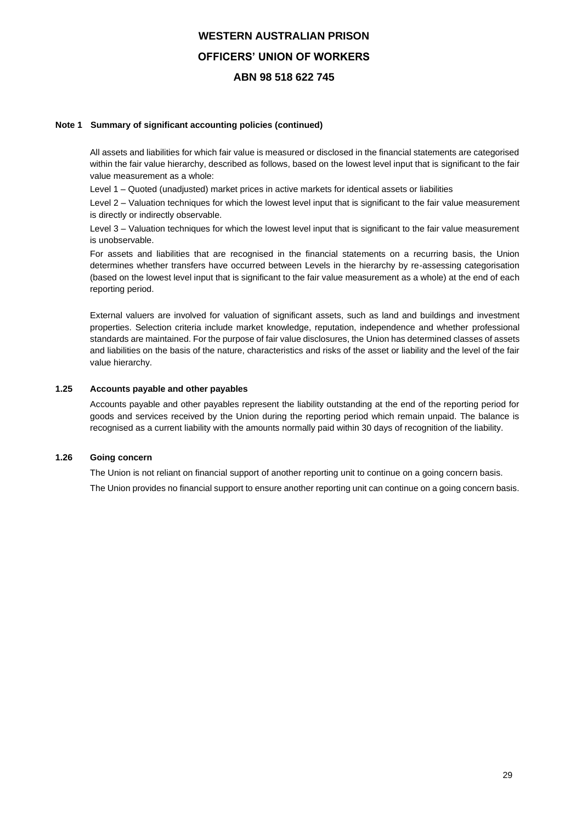### **Note 1 Summary of significant accounting policies (continued)**

All assets and liabilities for which fair value is measured or disclosed in the financial statements are categorised within the fair value hierarchy, described as follows, based on the lowest level input that is significant to the fair value measurement as a whole:

Level 1 – Quoted (unadjusted) market prices in active markets for identical assets or liabilities

Level 2 – Valuation techniques for which the lowest level input that is significant to the fair value measurement is directly or indirectly observable.

Level 3 – Valuation techniques for which the lowest level input that is significant to the fair value measurement is unobservable.

For assets and liabilities that are recognised in the financial statements on a recurring basis, the Union determines whether transfers have occurred between Levels in the hierarchy by re-assessing categorisation (based on the lowest level input that is significant to the fair value measurement as a whole) at the end of each reporting period.

External valuers are involved for valuation of significant assets, such as land and buildings and investment properties. Selection criteria include market knowledge, reputation, independence and whether professional standards are maintained. For the purpose of fair value disclosures, the Union has determined classes of assets and liabilities on the basis of the nature, characteristics and risks of the asset or liability and the level of the fair value hierarchy.

### **1.25 Accounts payable and other payables**

Accounts payable and other payables represent the liability outstanding at the end of the reporting period for goods and services received by the Union during the reporting period which remain unpaid. The balance is recognised as a current liability with the amounts normally paid within 30 days of recognition of the liability.

## **1.26 Going concern**

The Union is not reliant on financial support of another reporting unit to continue on a going concern basis.

The Union provides no financial support to ensure another reporting unit can continue on a going concern basis.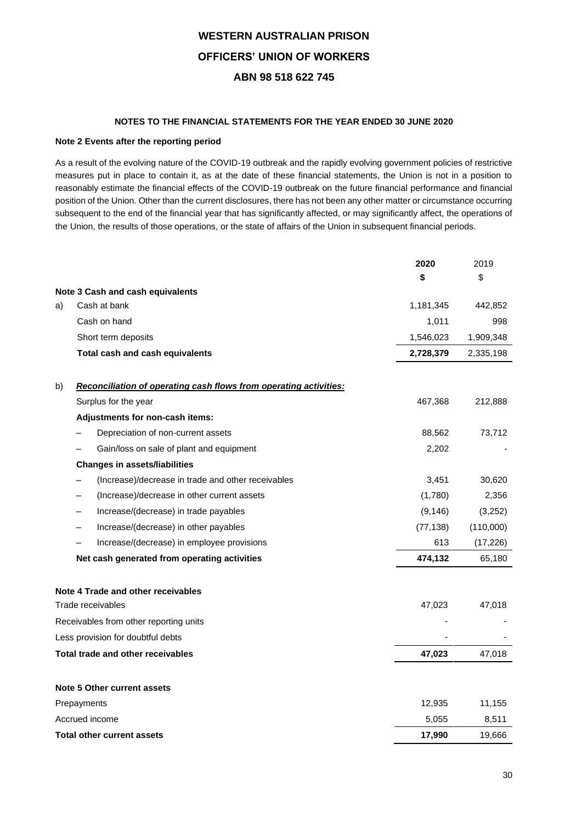### **NOTES TO THE FINANCIAL STATEMENTS FOR THE YEAR ENDED 30 JUNE 2020**

### **Note 2 Events after the reporting period**

As a result of the evolving nature of the COVID-19 outbreak and the rapidly evolving government policies of restrictive measures put in place to contain it, as at the date of these financial statements, the Union is not in a position to reasonably estimate the financial effects of the COVID-19 outbreak on the future financial performance and financial position of the Union. Other than the current disclosures, there has not been any other matter or circumstance occurring subsequent to the end of the financial year that has significantly affected, or may significantly affect, the operations of the Union, the results of those operations, or the state of affairs of the Union in subsequent financial periods.

|    |                                                                   | 2020      | 2019      |
|----|-------------------------------------------------------------------|-----------|-----------|
|    |                                                                   | \$        | \$        |
|    | Note 3 Cash and cash equivalents                                  |           |           |
| a) | Cash at bank                                                      | 1,181,345 | 442,852   |
|    | Cash on hand                                                      | 1,011     | 998       |
|    | Short term deposits                                               | 1,546,023 | 1,909,348 |
|    | Total cash and cash equivalents                                   | 2,728,379 | 2,335,198 |
| b) | Reconciliation of operating cash flows from operating activities: |           |           |
|    | Surplus for the year                                              | 467,368   | 212,888   |
|    | Adjustments for non-cash items:                                   |           |           |
|    | Depreciation of non-current assets                                | 88,562    | 73,712    |
|    | Gain/loss on sale of plant and equipment                          | 2,202     |           |
|    | <b>Changes in assets/liabilities</b>                              |           |           |
|    | (Increase)/decrease in trade and other receivables                | 3,451     | 30,620    |
|    | (Increase)/decrease in other current assets                       | (1,780)   | 2,356     |
|    | Increase/(decrease) in trade payables                             | (9, 146)  | (3,252)   |
|    | Increase/(decrease) in other payables                             | (77, 138) | (110,000) |
|    | Increase/(decrease) in employee provisions                        | 613       | (17, 226) |
|    | Net cash generated from operating activities                      | 474,132   | 65,180    |
|    | Note 4 Trade and other receivables                                |           |           |
|    | Trade receivables                                                 | 47,023    | 47,018    |
|    | Receivables from other reporting units                            |           |           |
|    | Less provision for doubtful debts                                 |           |           |
|    | Total trade and other receivables                                 | 47,023    | 47,018    |
|    | <b>Note 5 Other current assets</b>                                |           |           |
|    | Prepayments                                                       | 12,935    | 11,155    |
|    | Accrued income                                                    | 5,055     | 8,511     |
|    | <b>Total other current assets</b>                                 | 17,990    | 19,666    |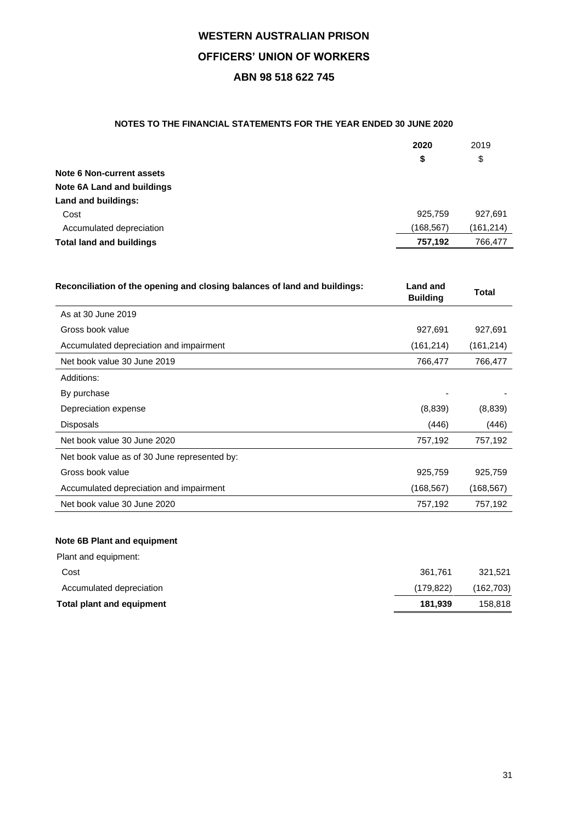# **NOTES TO THE FINANCIAL STATEMENTS FOR THE YEAR ENDED 30 JUNE 2020**

|                                 | 2020      | 2019       |
|---------------------------------|-----------|------------|
|                                 | \$        | \$         |
| Note 6 Non-current assets       |           |            |
| Note 6A Land and buildings      |           |            |
| Land and buildings:             |           |            |
| Cost                            | 925.759   | 927.691    |
| Accumulated depreciation        | (168,567) | (161, 214) |
| <b>Total land and buildings</b> | 757.192   | 766,477    |

| Reconciliation of the opening and closing balances of land and buildings: | Land and<br><b>Building</b> | Total      |
|---------------------------------------------------------------------------|-----------------------------|------------|
| As at 30 June 2019                                                        |                             |            |
| Gross book value                                                          | 927,691                     | 927,691    |
| Accumulated depreciation and impairment                                   | (161, 214)                  | (161, 214) |
| Net book value 30 June 2019                                               | 766,477                     | 766,477    |
| Additions:                                                                |                             |            |
| By purchase                                                               |                             |            |
| Depreciation expense                                                      | (8,839)                     | (8,839)    |
| <b>Disposals</b>                                                          | (446)                       | (446)      |
| Net book value 30 June 2020                                               | 757,192                     | 757,192    |
| Net book value as of 30 June represented by:                              |                             |            |
| Gross book value                                                          | 925,759                     | 925,759    |
| Accumulated depreciation and impairment                                   | (168, 567)                  | (168, 567) |
| Net book value 30 June 2020                                               | 757,192                     | 757,192    |

# **Note 6B Plant and equipment**

| Total plant and equipment | 181.939   | 158.818   |
|---------------------------|-----------|-----------|
| Accumulated depreciation  | (179.822) | (162,703) |
| Cost                      | 361.761   | 321.521   |
| Plant and equipment:      |           |           |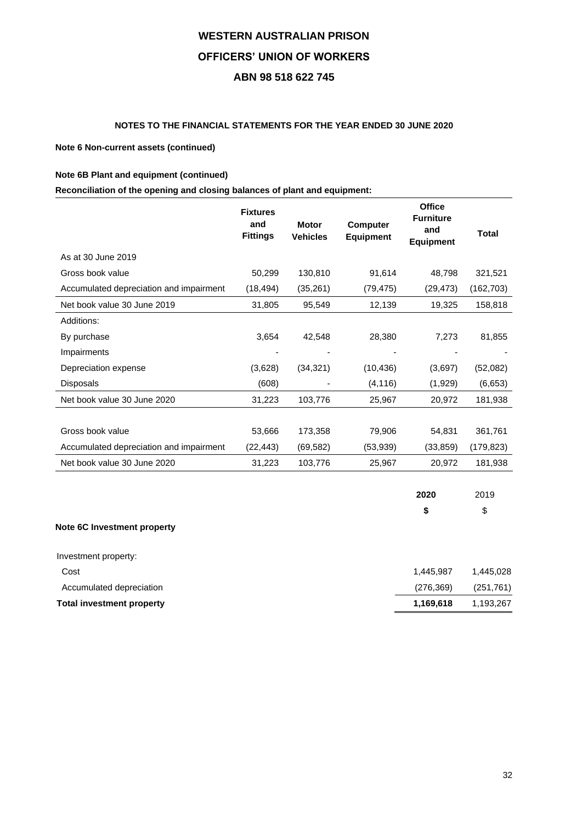# **NOTES TO THE FINANCIAL STATEMENTS FOR THE YEAR ENDED 30 JUNE 2020**

## **Note 6 Non-current assets (continued)**

## **Note 6B Plant and equipment (continued)**

# **Reconciliation of the opening and closing balances of plant and equipment:**

| <b>Fixtures</b><br>and<br><b>Fittings</b> | <b>Motor</b><br><b>Vehicles</b> | <b>Computer</b><br><b>Equipment</b> | <b>Office</b><br><b>Furniture</b><br>and<br><b>Equipment</b> | <b>Total</b> |
|-------------------------------------------|---------------------------------|-------------------------------------|--------------------------------------------------------------|--------------|
|                                           |                                 |                                     |                                                              |              |
| 50,299                                    | 130,810                         | 91,614                              | 48,798                                                       | 321,521      |
| (18, 494)                                 | (35, 261)                       | (79, 475)                           | (29, 473)                                                    | (162, 703)   |
| 31,805                                    | 95,549                          | 12,139                              | 19,325                                                       | 158,818      |
|                                           |                                 |                                     |                                                              |              |
| 3,654                                     | 42,548                          | 28,380                              | 7,273                                                        | 81,855       |
|                                           |                                 |                                     |                                                              |              |
| (3,628)                                   | (34, 321)                       | (10, 436)                           | (3,697)                                                      | (52,082)     |
| (608)                                     |                                 | (4, 116)                            | (1,929)                                                      | (6,653)      |
| 31,223                                    | 103,776                         | 25,967                              | 20,972                                                       | 181,938      |
|                                           |                                 |                                     |                                                              |              |
| 53,666                                    | 173,358                         | 79,906                              | 54,831                                                       | 361,761      |
| (22, 443)                                 | (69, 582)                       | (53, 939)                           | (33, 859)                                                    | (179,823)    |
| 31,223                                    | 103,776                         | 25,967                              | 20,972                                                       | 181,938      |
|                                           |                                 |                                     |                                                              |              |

|                             | 2020      | 2019      |
|-----------------------------|-----------|-----------|
|                             | S         | \$        |
| Note 6C Investment property |           |           |
| Investment property:        |           |           |
| Cost                        | 1,445,987 | 1,445,028 |

| Total investment property | 1.169.618 | 1,193,267  |
|---------------------------|-----------|------------|
| Accumulated depreciation  | (276.369) | (251, 761) |
|                           |           |            |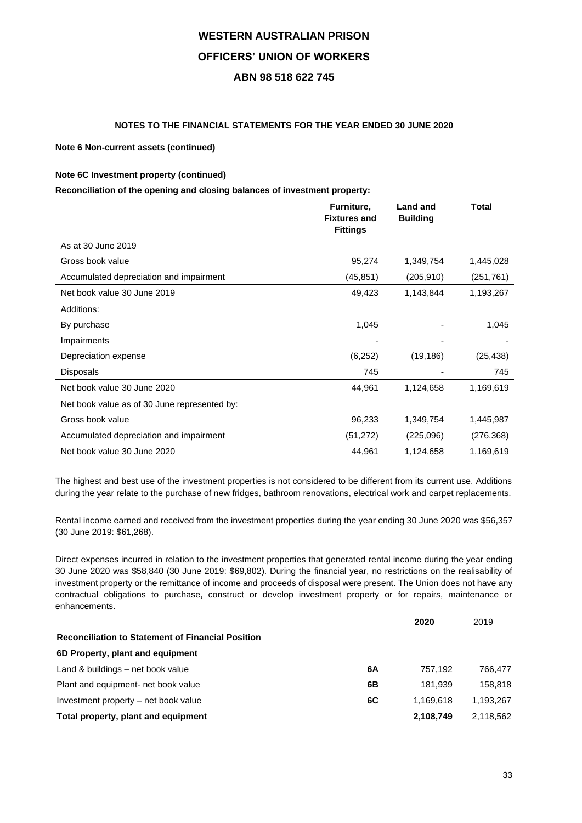## **NOTES TO THE FINANCIAL STATEMENTS FOR THE YEAR ENDED 30 JUNE 2020**

### **Note 6 Non-current assets (continued)**

### **Note 6C Investment property (continued)**

### **Reconciliation of the opening and closing balances of investment property:**

|                                              | Furniture,<br><b>Fixtures and</b><br><b>Fittings</b> | <b>Land and</b><br><b>Building</b> | <b>Total</b> |
|----------------------------------------------|------------------------------------------------------|------------------------------------|--------------|
| As at 30 June 2019                           |                                                      |                                    |              |
| Gross book value                             | 95,274                                               | 1,349,754                          | 1,445,028    |
| Accumulated depreciation and impairment      | (45, 851)                                            | (205, 910)                         | (251, 761)   |
| Net book value 30 June 2019                  | 49,423                                               | 1,143,844                          | 1,193,267    |
| Additions:                                   |                                                      |                                    |              |
| By purchase                                  | 1,045                                                |                                    | 1,045        |
| Impairments                                  |                                                      |                                    |              |
| Depreciation expense                         | (6,252)                                              | (19, 186)                          | (25, 438)    |
| <b>Disposals</b>                             | 745                                                  |                                    | 745          |
| Net book value 30 June 2020                  | 44,961                                               | 1,124,658                          | 1,169,619    |
| Net book value as of 30 June represented by: |                                                      |                                    |              |
| Gross book value                             | 96,233                                               | 1,349,754                          | 1,445,987    |
| Accumulated depreciation and impairment      | (51, 272)                                            | (225,096)                          | (276, 368)   |
| Net book value 30 June 2020                  | 44,961                                               | 1,124,658                          | 1,169,619    |

The highest and best use of the investment properties is not considered to be different from its current use. Additions during the year relate to the purchase of new fridges, bathroom renovations, electrical work and carpet replacements.

Rental income earned and received from the investment properties during the year ending 30 June 2020 was \$56,357 (30 June 2019: \$61,268).

Direct expenses incurred in relation to the investment properties that generated rental income during the year ending 30 June 2020 was \$58,840 (30 June 2019: \$69,802). During the financial year, no restrictions on the realisability of investment property or the remittance of income and proceeds of disposal were present. The Union does not have any contractual obligations to purchase, construct or develop investment property or for repairs, maintenance or enhancements.

|                                                          | 2020      | 2019      |
|----------------------------------------------------------|-----------|-----------|
| <b>Reconciliation to Statement of Financial Position</b> |           |           |
| 6D Property, plant and equipment                         |           |           |
| Land & buildings – net book value<br>6A                  | 757.192   | 766.477   |
| Plant and equipment- net book value<br>6Β                | 181.939   | 158.818   |
| 6C<br>Investment property – net book value               | 1.169.618 | 1,193,267 |
| Total property, plant and equipment                      | 2,108,749 | 2,118,562 |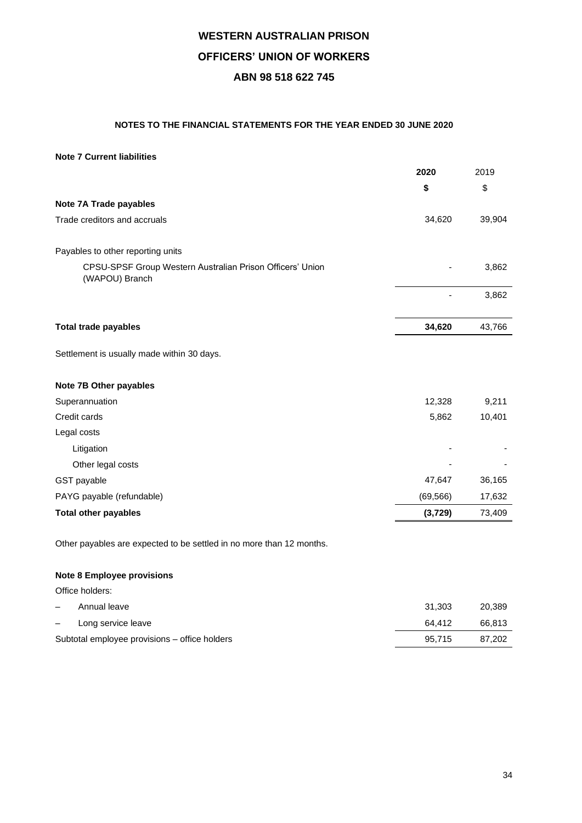# **NOTES TO THE FINANCIAL STATEMENTS FOR THE YEAR ENDED 30 JUNE 2020**

## **Note 7 Current liabilities**

|                                                                             | 2020      | 2019   |
|-----------------------------------------------------------------------------|-----------|--------|
|                                                                             | \$        | \$     |
| Note 7A Trade payables                                                      |           |        |
| Trade creditors and accruals                                                | 34,620    | 39,904 |
| Payables to other reporting units                                           |           |        |
| CPSU-SPSF Group Western Australian Prison Officers' Union<br>(WAPOU) Branch |           | 3,862  |
|                                                                             |           | 3,862  |
| <b>Total trade payables</b>                                                 | 34,620    | 43,766 |
| Settlement is usually made within 30 days.                                  |           |        |
| Note 7B Other payables                                                      |           |        |
| Superannuation                                                              | 12,328    | 9,211  |
| Credit cards                                                                | 5,862     | 10,401 |
| Legal costs                                                                 |           |        |
| Litigation                                                                  |           |        |
| Other legal costs                                                           |           |        |
| GST payable                                                                 | 47,647    | 36,165 |
| PAYG payable (refundable)                                                   | (69, 566) | 17,632 |
| <b>Total other payables</b>                                                 | (3,729)   | 73,409 |

Other payables are expected to be settled in no more than 12 months.

# **Note 8 Employee provisions**

Office holders:

| $\overline{\phantom{a}}$ | Annual leave                                  | 31.303 | 20.389 |
|--------------------------|-----------------------------------------------|--------|--------|
| $\overline{\phantom{m}}$ | Long service leave                            | 64.412 | 66.813 |
|                          | Subtotal employee provisions – office holders | 95.715 | 87.202 |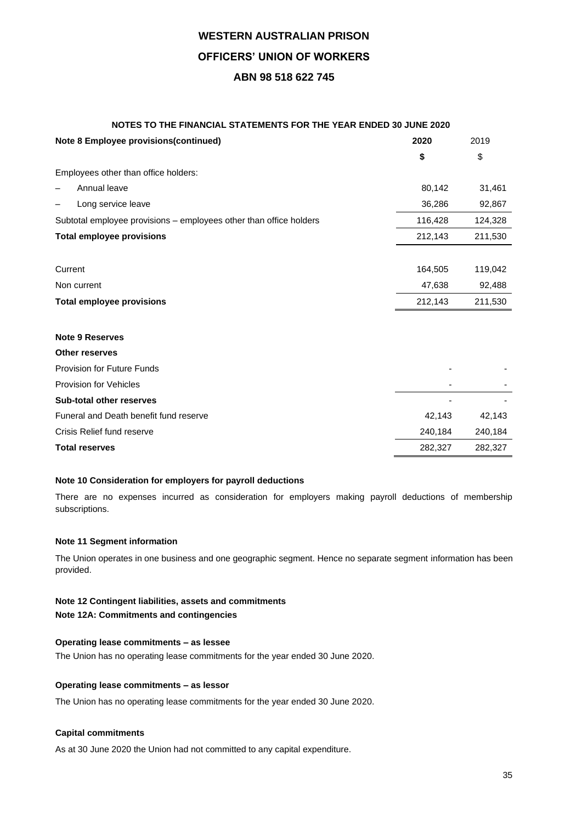# **NOTES TO THE FINANCIAL STATEMENTS FOR THE YEAR ENDED 30 JUNE 2020**

| Note 8 Employee provisions(continued)                              | 2020    | 2019    |
|--------------------------------------------------------------------|---------|---------|
|                                                                    | \$      | \$      |
| Employees other than office holders:                               |         |         |
| Annual leave                                                       | 80,142  | 31,461  |
| Long service leave                                                 | 36,286  | 92,867  |
| Subtotal employee provisions – employees other than office holders | 116,428 | 124,328 |
| <b>Total employee provisions</b>                                   | 212,143 | 211,530 |
|                                                                    |         |         |
| Current                                                            | 164,505 | 119,042 |
| Non current                                                        | 47,638  | 92,488  |
| <b>Total employee provisions</b>                                   | 212,143 | 211,530 |
|                                                                    |         |         |
| <b>Note 9 Reserves</b>                                             |         |         |
| <b>Other reserves</b>                                              |         |         |
| <b>Provision for Future Funds</b>                                  |         |         |
| <b>Provision for Vehicles</b>                                      |         |         |
| <b>Sub-total other reserves</b>                                    |         |         |
| Funeral and Death benefit fund reserve                             | 42,143  | 42,143  |
| Crisis Relief fund reserve                                         | 240,184 | 240,184 |
| <b>Total reserves</b>                                              | 282,327 | 282,327 |

### **Note 10 Consideration for employers for payroll deductions**

There are no expenses incurred as consideration for employers making payroll deductions of membership subscriptions.

### **Note 11 Segment information**

The Union operates in one business and one geographic segment. Hence no separate segment information has been provided.

# **Note 12 Contingent liabilities, assets and commitments**

**Note 12A: Commitments and contingencies**

### **Operating lease commitments – as lessee**

The Union has no operating lease commitments for the year ended 30 June 2020.

#### **Operating lease commitments – as lessor**

The Union has no operating lease commitments for the year ended 30 June 2020.

#### **Capital commitments**

As at 30 June 2020 the Union had not committed to any capital expenditure.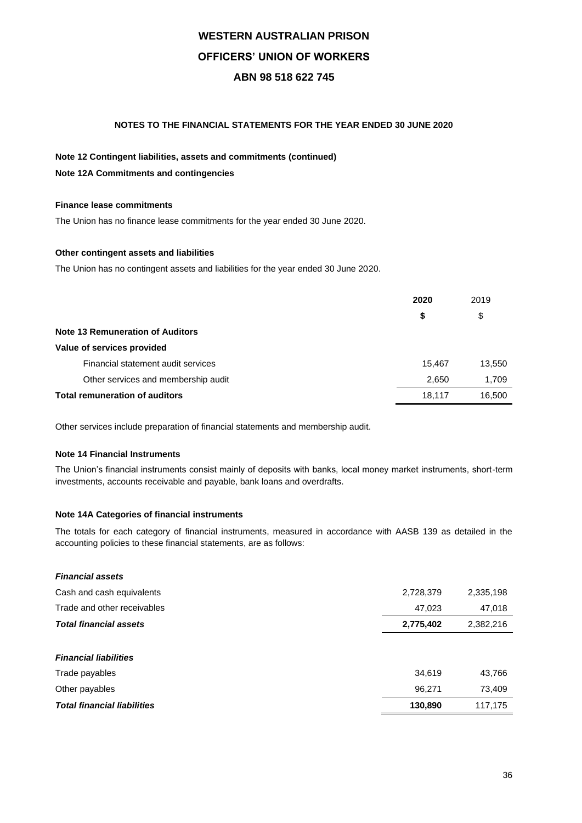## **NOTES TO THE FINANCIAL STATEMENTS FOR THE YEAR ENDED 30 JUNE 2020**

# **Note 12 Contingent liabilities, assets and commitments (continued) Note 12A Commitments and contingencies**

### **Finance lease commitments**

The Union has no finance lease commitments for the year ended 30 June 2020.

### **Other contingent assets and liabilities**

The Union has no contingent assets and liabilities for the year ended 30 June 2020.

|                                         | 2020   | 2019   |
|-----------------------------------------|--------|--------|
|                                         | \$     | \$     |
| <b>Note 13 Remuneration of Auditors</b> |        |        |
| Value of services provided              |        |        |
| Financial statement audit services      | 15.467 | 13,550 |
| Other services and membership audit     | 2,650  | 1,709  |
| <b>Total remuneration of auditors</b>   | 18,117 | 16,500 |

Other services include preparation of financial statements and membership audit.

## **Note 14 Financial Instruments**

The Union's financial instruments consist mainly of deposits with banks, local money market instruments, short-term investments, accounts receivable and payable, bank loans and overdrafts.

### **Note 14A Categories of financial instruments**

The totals for each category of financial instruments, measured in accordance with AASB 139 as detailed in the accounting policies to these financial statements, are as follows:

| <b>Financial assets</b>            |           |           |
|------------------------------------|-----------|-----------|
| Cash and cash equivalents          | 2,728,379 | 2,335,198 |
| Trade and other receivables        | 47,023    | 47,018    |
| <b>Total financial assets</b>      | 2,775,402 | 2,382,216 |
|                                    |           |           |
| <b>Financial liabilities</b>       |           |           |
| Trade payables                     | 34,619    | 43,766    |
| Other payables                     | 96,271    | 73,409    |
| <b>Total financial liabilities</b> | 130,890   | 117,175   |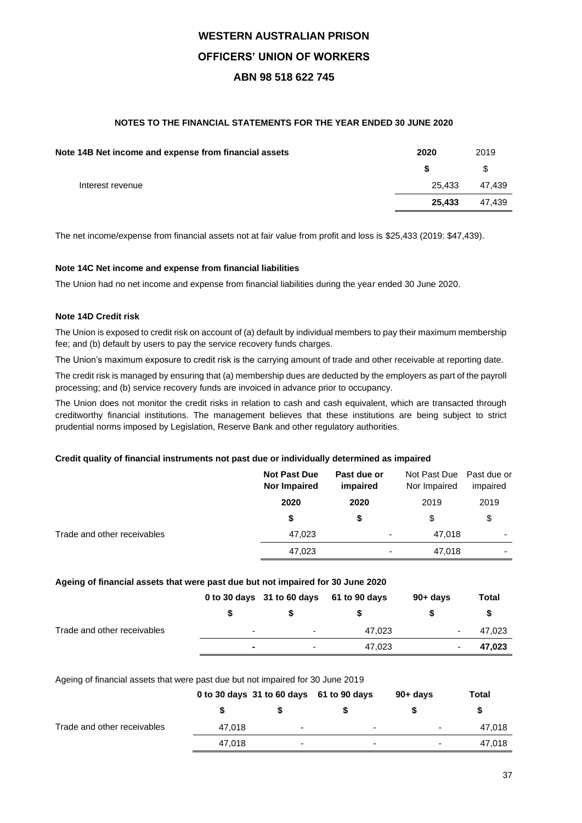# **NOTES TO THE FINANCIAL STATEMENTS FOR THE YEAR ENDED 30 JUNE 2020**

| 2020   | 2019   |
|--------|--------|
|        | \$     |
| 25.433 | 47.439 |
| 25.433 | 47,439 |
|        |        |

The net income/expense from financial assets not at fair value from profit and loss is \$25,433 (2019: \$47,439).

### **Note 14C Net income and expense from financial liabilities**

The Union had no net income and expense from financial liabilities during the year ended 30 June 2020.

## **Note 14D Credit risk**

The Union is exposed to credit risk on account of (a) default by individual members to pay their maximum membership fee; and (b) default by users to pay the service recovery funds charges.

The Union's maximum exposure to credit risk is the carrying amount of trade and other receivable at reporting date.

The credit risk is managed by ensuring that (a) membership dues are deducted by the employers as part of the payroll processing; and (b) service recovery funds are invoiced in advance prior to occupancy.

The Union does not monitor the credit risks in relation to cash and cash equivalent, which are transacted through creditworthy financial institutions. The management believes that these institutions are being subject to strict prudential norms imposed by Legislation, Reserve Bank and other regulatory authorities.

### **Credit quality of financial instruments not past due or individually determined as impaired**

|                             | <b>Not Past Due</b><br><b>Nor Impaired</b> | Past due or<br>impaired  | Not Past Due Past due or<br>Nor Impaired | impaired                 |
|-----------------------------|--------------------------------------------|--------------------------|------------------------------------------|--------------------------|
|                             | 2020                                       | 2020                     | 2019                                     | 2019                     |
|                             | \$                                         | \$                       | \$                                       | \$                       |
| Trade and other receivables | 47,023                                     | ٠                        | 47.018                                   | ۰                        |
|                             | 47,023                                     | $\overline{\phantom{0}}$ | 47,018                                   | $\overline{\phantom{0}}$ |

# **Ageing of financial assets that were past due but not impaired for 30 June 2020**

|                             |                          | 0 to 30 days 31 to 60 days 61 to 90 days |        | $90 + days$              | Total  |
|-----------------------------|--------------------------|------------------------------------------|--------|--------------------------|--------|
|                             |                          |                                          |        |                          |        |
| Trade and other receivables | $\overline{\phantom{a}}$ | $\overline{\phantom{a}}$                 | 47.023 | $\overline{\phantom{0}}$ | 47,023 |
|                             |                          | $\sim$                                   | 47.023 |                          | 47,023 |

Ageing of financial assets that were past due but not impaired for 30 June 2019

|                             | 0 to 30 days 31 to 60 days 61 to 90 days |                          |                          | $90 + days$              | Total  |
|-----------------------------|------------------------------------------|--------------------------|--------------------------|--------------------------|--------|
|                             |                                          |                          |                          |                          |        |
| Trade and other receivables | 47.018                                   | $\overline{\phantom{0}}$ | $\overline{\phantom{0}}$ | $\overline{\phantom{0}}$ | 47,018 |
|                             | 47.018                                   | $\blacksquare$           | $\overline{\phantom{a}}$ | $\overline{\phantom{0}}$ | 47,018 |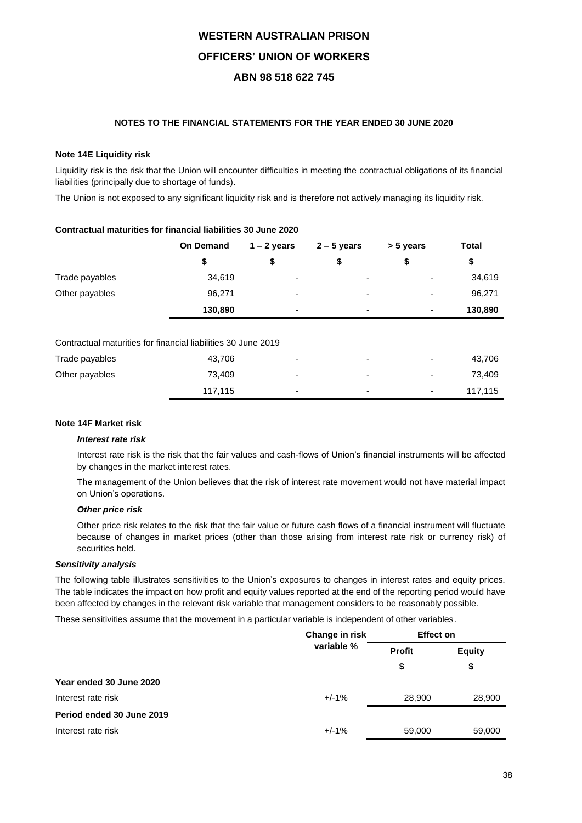## **NOTES TO THE FINANCIAL STATEMENTS FOR THE YEAR ENDED 30 JUNE 2020**

### **Note 14E Liquidity risk**

Liquidity risk is the risk that the Union will encounter difficulties in meeting the contractual obligations of its financial liabilities (principally due to shortage of funds).

The Union is not exposed to any significant liquidity risk and is therefore not actively managing its liquidity risk.

|                                                               | <b>On Demand</b> | $1 - 2$ years | $2 - 5$ years  | > 5 years                | Total   |
|---------------------------------------------------------------|------------------|---------------|----------------|--------------------------|---------|
|                                                               | \$               | \$            | \$             | \$                       | \$      |
| Trade payables                                                | 34,619           | ٠             |                |                          | 34,619  |
| Other payables                                                | 96,271           | ٠             | $\blacksquare$ | $\overline{\phantom{0}}$ | 96,271  |
|                                                               | 130,890          | ۰             |                |                          | 130,890 |
|                                                               |                  |               |                |                          |         |
| Contractual maturities for financial liabilities 30 June 2019 |                  |               |                |                          |         |

### **Contractual maturities for financial liabilities 30 June 2020**

|  |  |  | Contractual maturities for financial liabilities 30 June 2019 |  |  |
|--|--|--|---------------------------------------------------------------|--|--|
|  |  |  |                                                               |  |  |

| Trade payables | 43,706  | $\overline{\phantom{0}}$ | $\overline{\phantom{0}}$ | $\overline{\phantom{0}}$ | 43,706  |
|----------------|---------|--------------------------|--------------------------|--------------------------|---------|
| Other payables | 73.409  | $\overline{\phantom{0}}$ | $\overline{\phantom{0}}$ | $\overline{\phantom{0}}$ | 73.409  |
|                | 117.115 | $\blacksquare$           | $\overline{\phantom{0}}$ | $\sim$                   | 117.115 |

## **Note 14F Market risk**

### *Interest rate risk*

Interest rate risk is the risk that the fair values and cash-flows of Union's financial instruments will be affected by changes in the market interest rates.

The management of the Union believes that the risk of interest rate movement would not have material impact on Union's operations.

### *Other price risk*

Other price risk relates to the risk that the fair value or future cash flows of a financial instrument will fluctuate because of changes in market prices (other than those arising from interest rate risk or currency risk) of securities held.

## *Sensitivity analysis*

The following table illustrates sensitivities to the Union's exposures to changes in interest rates and equity prices. The table indicates the impact on how profit and equity values reported at the end of the reporting period would have been affected by changes in the relevant risk variable that management considers to be reasonably possible.

These sensitivities assume that the movement in a particular variable is independent of other variables.

|                           | Change in risk | <b>Effect on</b> |               |
|---------------------------|----------------|------------------|---------------|
|                           | variable %     | <b>Profit</b>    | <b>Equity</b> |
|                           |                | \$               | \$            |
| Year ended 30 June 2020   |                |                  |               |
| Interest rate risk        | $+/-1%$        | 28,900           | 28,900        |
| Period ended 30 June 2019 |                |                  |               |
| Interest rate risk        | $+/-1%$        | 59,000           | 59,000        |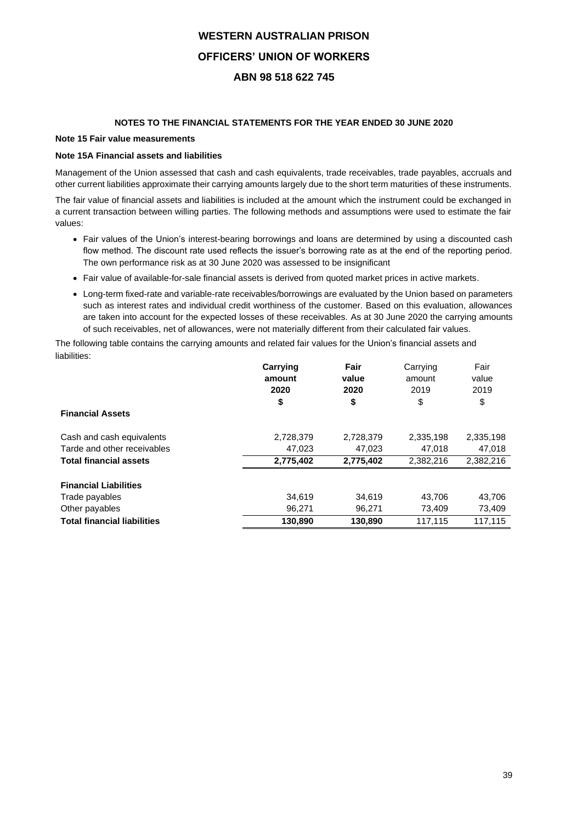## **NOTES TO THE FINANCIAL STATEMENTS FOR THE YEAR ENDED 30 JUNE 2020**

## **Note 15 Fair value measurements**

### **Note 15A Financial assets and liabilities**

Management of the Union assessed that cash and cash equivalents, trade receivables, trade payables, accruals and other current liabilities approximate their carrying amounts largely due to the short term maturities of these instruments.

The fair value of financial assets and liabilities is included at the amount which the instrument could be exchanged in a current transaction between willing parties. The following methods and assumptions were used to estimate the fair values:

- Fair values of the Union's interest-bearing borrowings and loans are determined by using a discounted cash flow method. The discount rate used reflects the issuer's borrowing rate as at the end of the reporting period. The own performance risk as at 30 June 2020 was assessed to be insignificant
- Fair value of available-for-sale financial assets is derived from quoted market prices in active markets.
- Long-term fixed-rate and variable-rate receivables/borrowings are evaluated by the Union based on parameters such as interest rates and individual credit worthiness of the customer. Based on this evaluation, allowances are taken into account for the expected losses of these receivables. As at 30 June 2020 the carrying amounts of such receivables, net of allowances, were not materially different from their calculated fair values.

The following table contains the carrying amounts and related fair values for the Union's financial assets and liabilities:

|                                    | Carrying  | Fair      | Carrying  | Fair      |
|------------------------------------|-----------|-----------|-----------|-----------|
|                                    | amount    | value     | amount    | value     |
|                                    | 2020      | 2020      | 2019      | 2019      |
|                                    | \$        | \$        | \$        | \$        |
| <b>Financial Assets</b>            |           |           |           |           |
| Cash and cash equivalents          | 2,728,379 | 2,728,379 | 2,335,198 | 2,335,198 |
| Tarde and other receivables        | 47,023    | 47,023    | 47,018    | 47,018    |
| <b>Total financial assets</b>      | 2,775,402 | 2.775.402 | 2.382.216 | 2.382.216 |
| <b>Financial Liabilities</b>       |           |           |           |           |
| Trade payables                     | 34,619    | 34,619    | 43,706    | 43,706    |
| Other payables                     | 96,271    | 96.271    | 73,409    | 73,409    |
| <b>Total financial liabilities</b> | 130,890   | 130,890   | 117,115   | 117.115   |